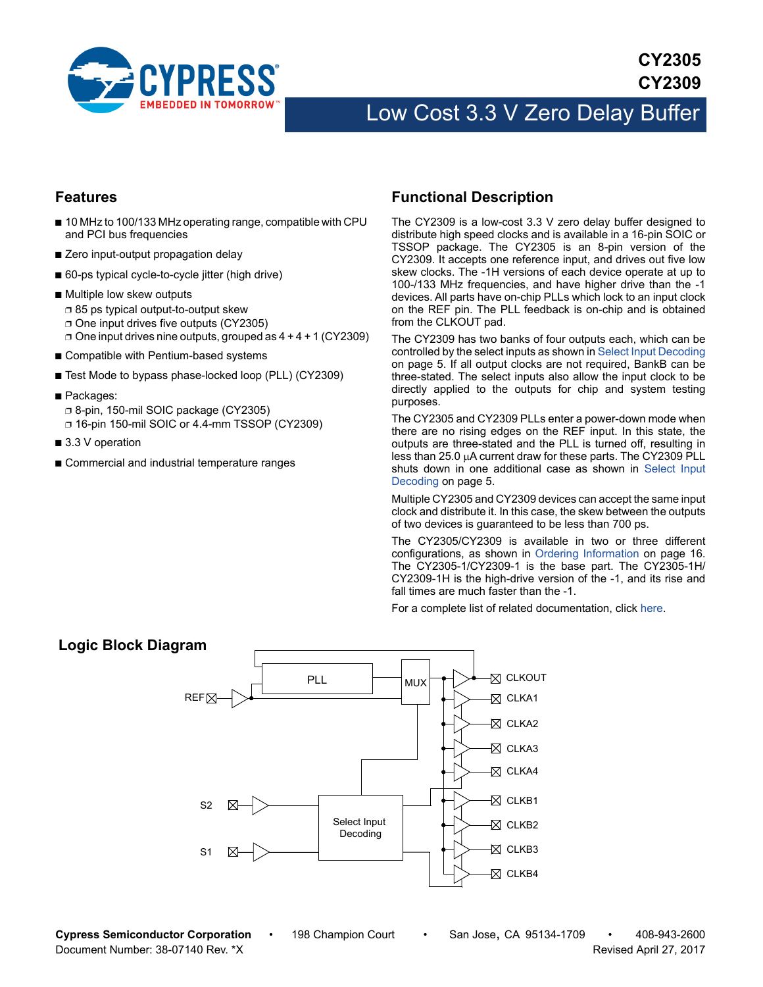

## **Features**

- 10 MHz to 100/133 MHz operating range, compatible with CPU and PCI bus frequencies
- Zero input-output propagation delay
- 60-ps typical cycle-to-cycle jitter (high drive)
- Multiple low skew outputs ❐ 85 ps typical output-to-output skew ❐ One input drives five outputs (CY2305)  $\Box$  One input drives nine outputs, grouped as  $4 + 4 + 1$  (CY2309)
- Compatible with Pentium-based systems
- Test Mode to bypass phase-locked loop (PLL) (CY2309)
- Packages: ❐ 8-pin, 150-mil SOIC package (CY2305) ❐ 16-pin 150-mil SOIC or 4.4-mm TSSOP (CY2309)
- 3.3 V operation
- Commercial and industrial temperature ranges

## <span id="page-0-0"></span>**Functional Description**

The CY2309 is a low-cost 3.3 V zero delay buffer designed to distribute high speed clocks and is available in a 16-pin SOIC or TSSOP package. The CY2305 is an 8-pin version of the CY2309. It accepts one reference input, and drives out five low skew clocks. The -1H versions of each device operate at up to 100-/133 MHz frequencies, and have higher drive than the -1 devices. All parts have on-chip PLLs which lock to an input clock on the REF pin. The PLL feedback is on-chip and is obtained from the CLKOUT pad.

The CY2309 has two banks of four outputs each, which can be controlled by the select inputs as shown in [Select Input Decoding](#page-4-0) [on page 5.](#page-4-0) If all output clocks are not required, BankB can be three-stated. The select inputs also allow the input clock to be directly applied to the outputs for chip and system testing purposes.

The CY2305 and CY2309 PLLs enter a power-down mode when there are no rising edges on the REF input. In this state, the outputs are three-stated and the PLL is turned off, resulting in less than 25.0  $\mu$ A current draw for these parts. The CY2309 PLL shuts down in one additional case as shown in [Select Input](#page-4-0) [Decoding on page 5.](#page-4-0)

Multiple CY2305 and CY2309 devices can accept the same input clock and distribute it. In this case, the skew between the outputs of two devices is guaranteed to be less than 700 ps.

The CY2305/CY2309 is available in two or three different configurations, as shown in [Ordering Information on page 16.](#page-15-0) The CY2305-1/CY2309-1 is the base part. The CY2305-1H/ CY2309-1H is the high-drive version of the -1, and its rise and fall times are much faster than the -1.

For a complete list of related documentation, click [here](http://www.cypress.com/?rID=13269
).



**Cypress Semiconductor Corporation** • 198 Champion Court • San Jose, CA 95134-1709 • 408-943-2600 Document Number: 38-07140 Rev. \*X Revised April 27, 2017

## **Logic Block Diagram**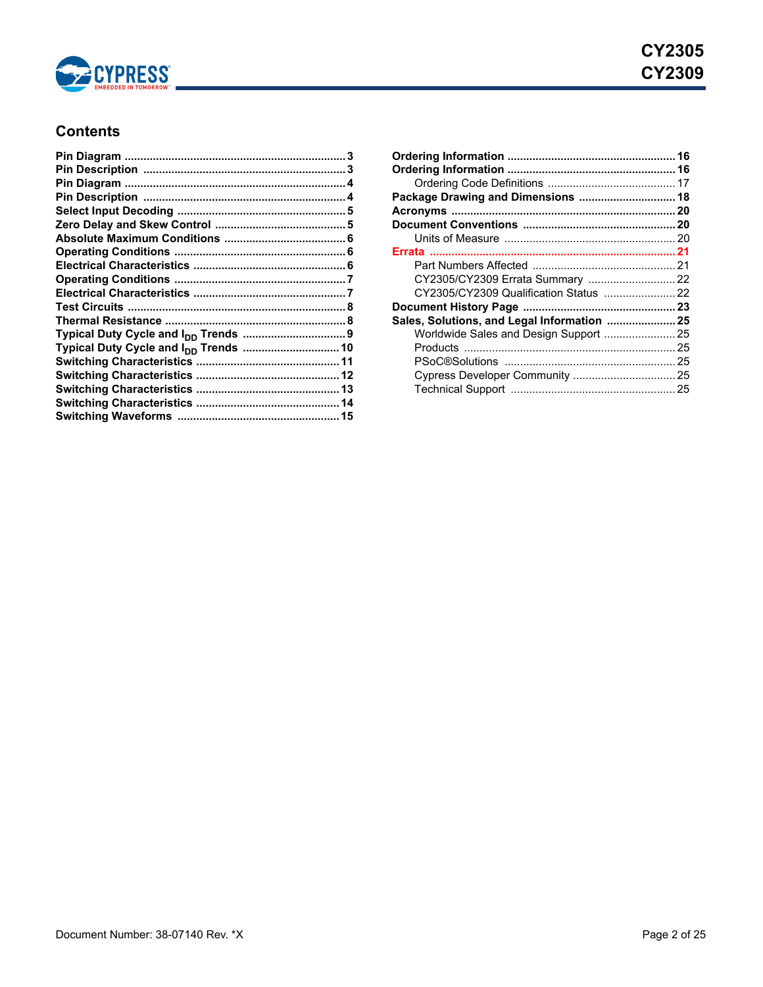

# **Contents**

| Package Drawing and Dimensions  18          |  |
|---------------------------------------------|--|
|                                             |  |
|                                             |  |
|                                             |  |
|                                             |  |
|                                             |  |
|                                             |  |
|                                             |  |
|                                             |  |
| Sales, Solutions, and Legal Information  25 |  |
| Worldwide Sales and Design Support  25      |  |
|                                             |  |
|                                             |  |
|                                             |  |
|                                             |  |
|                                             |  |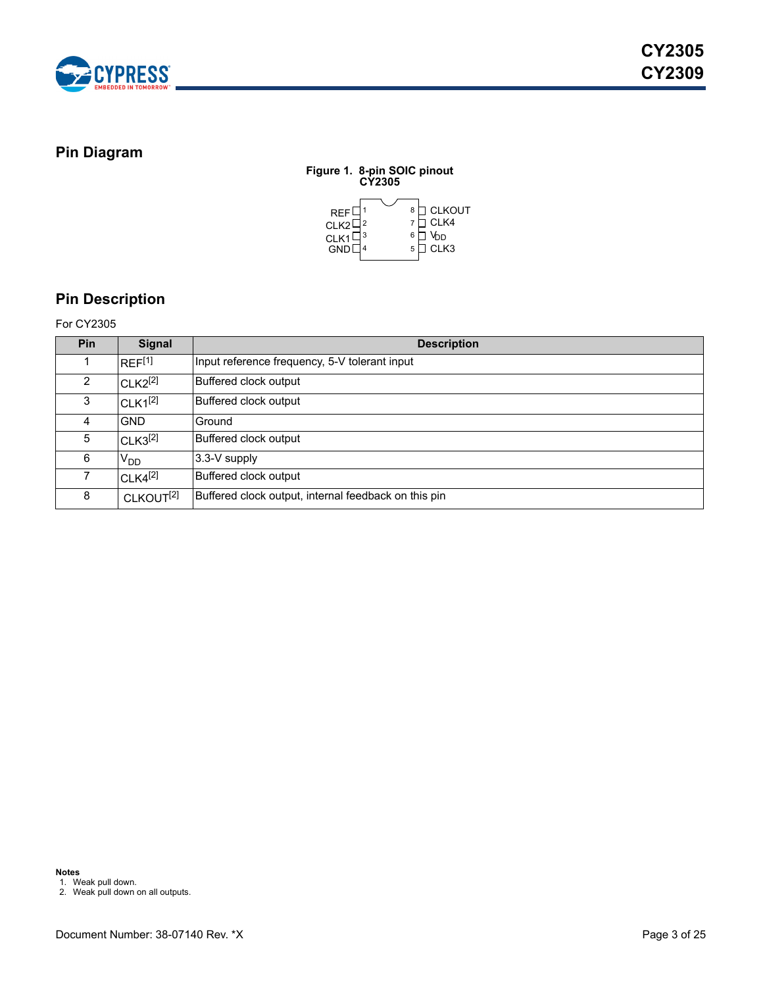

## <span id="page-2-0"></span>**Pin Diagram**

**Figure 1. 8-pin SOIC pinout CY2305** 1 2 3 4 5 8 7 6 <mark>∐</mark> V<sub>DD</sub> REF CLK2 CLK1 GND CLKOUT CLK4 CLK3

# <span id="page-2-1"></span>**Pin Description**

### For CY2305

| Pin | <b>Signal</b>         | <b>Description</b>                                   |
|-----|-----------------------|------------------------------------------------------|
|     | $RFF^{[1]}$           | Input reference frequency, 5-V tolerant input        |
| 2   | $CLK2^{[2]}$          | Buffered clock output                                |
| 3   | $CLK1^{[2]}$          | Buffered clock output                                |
| 4   | <b>GND</b>            | Ground                                               |
| 5   | CLK3 <sup>[2]</sup>   | Buffered clock output                                |
| 6   | V <sub>DD</sub>       | 3.3-V supply                                         |
|     | $CLK4^{[2]}$          | Buffered clock output                                |
| 8   | CLKOUT <sup>[2]</sup> | Buffered clock output, internal feedback on this pin |

<span id="page-2-2"></span>1. Weak pull down. 2. Weak pull down on all outputs.

<span id="page-2-3"></span>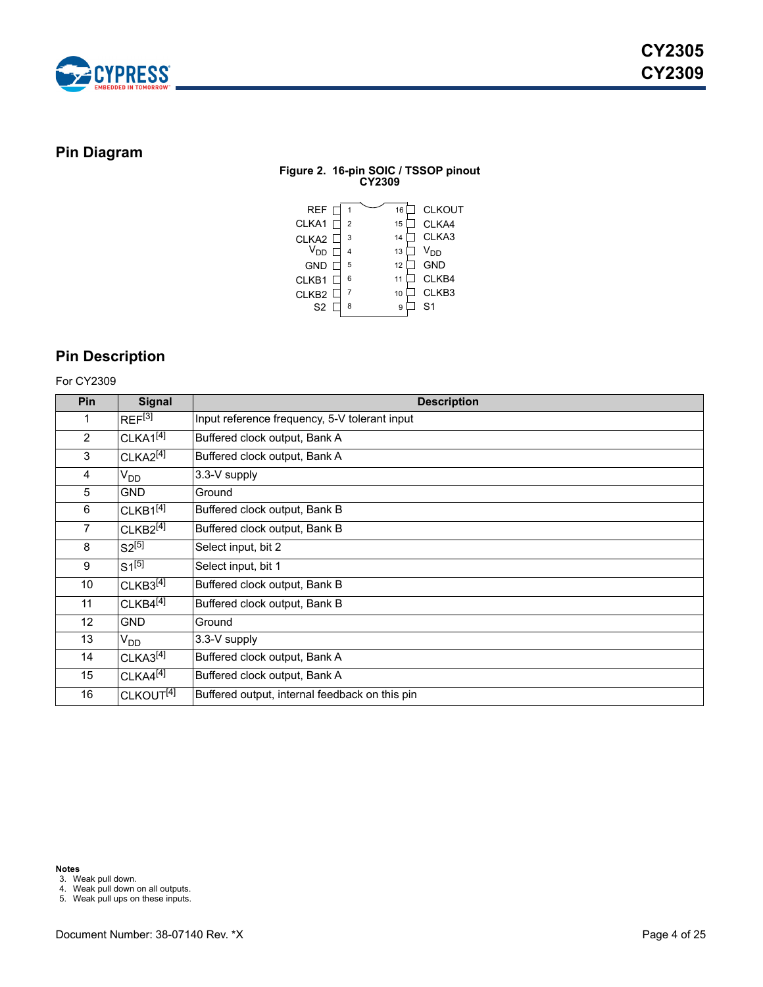

## <span id="page-3-0"></span>**Pin Diagram**

## **Figure 2. 16-pin SOIC / TSSOP pinout CY2309**



## <span id="page-3-1"></span>**Pin Description**

## For CY2309

| <b>Pin</b>      | <b>Signal</b>         | <b>Description</b>                             |
|-----------------|-----------------------|------------------------------------------------|
| 1               | REF <sup>[3]</sup>    | Input reference frequency, 5-V tolerant input  |
| $\overline{2}$  | CLKA1 <sup>[4]</sup>  | Buffered clock output, Bank A                  |
| 3               | $CLKA2^{[4]}$         | Buffered clock output, Bank A                  |
| 4               | V <sub>DD</sub>       | 3.3-V supply                                   |
| 5               | <b>GND</b>            | Ground                                         |
| 6               | $CLKB1^{[4]}$         | Buffered clock output, Bank B                  |
| $\overline{7}$  | $CLKB2^{[4]}$         | Buffered clock output, Bank B                  |
| 8               | $S2^{[5]}$            | Select input, bit 2                            |
| 9               | $S1^{[5]}$            | Select input, bit 1                            |
| 10 <sup>1</sup> | CLKB3 <sup>[4]</sup>  | Buffered clock output, Bank B                  |
| 11              | $CLKB4^{[4]}$         | Buffered clock output, Bank B                  |
| 12 <sup>2</sup> | <b>GND</b>            | Ground                                         |
| 13              | $V_{DD}$              | 3.3-V supply                                   |
| 14              | CLKA3 <sup>[4]</sup>  | Buffered clock output, Bank A                  |
| 15              | CLKAA <sup>[4]</sup>  | Buffered clock output, Bank A                  |
| 16              | CLKOUT <sup>[4]</sup> | Buffered output, internal feedback on this pin |

**Notes**

<span id="page-3-2"></span>3. Weak pull down.

<span id="page-3-3"></span>4. Weak pull down on all outputs.

<span id="page-3-4"></span>5. Weak pull ups on these inputs.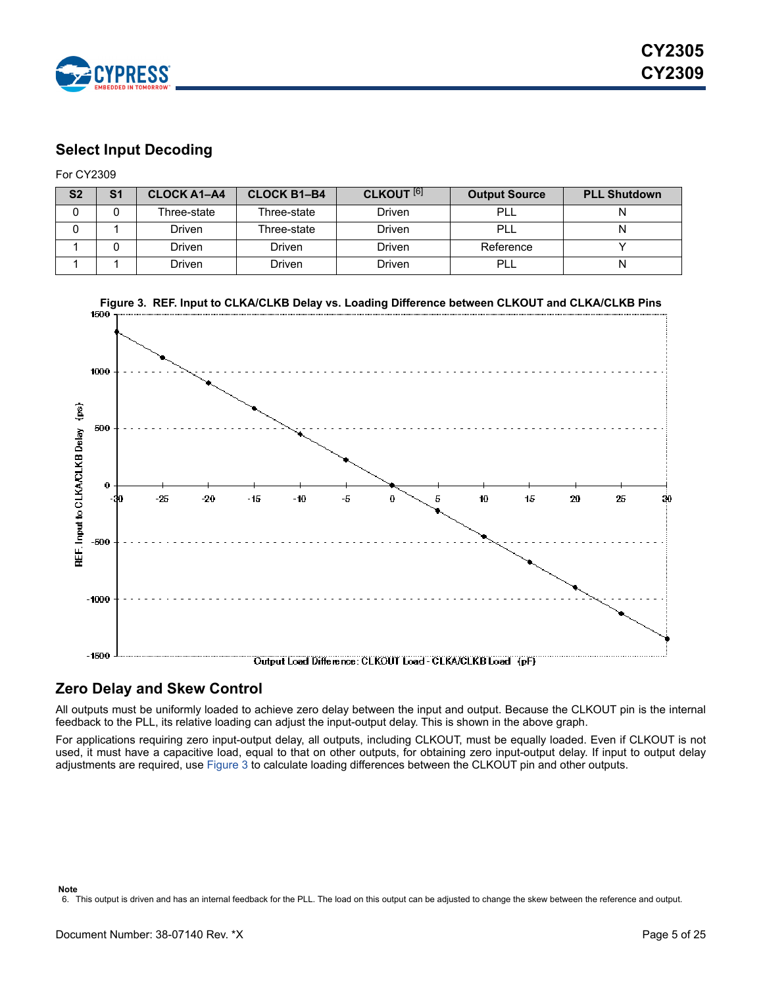

## <span id="page-4-0"></span>**Select Input Decoding**

For CY2309

| S <sub>2</sub> | S <sub>1</sub> | <b>CLOCK A1-A4</b> | <b>CLOCK B1-B4</b> | <b>CLKOUT</b> [6] | <b>Output Source</b> | <b>PLL Shutdown</b> |
|----------------|----------------|--------------------|--------------------|-------------------|----------------------|---------------------|
|                |                | Three-state        | Three-state        | Driven            | <b>PLL</b>           |                     |
|                |                | Driven             | Three-state        | Driven            | <b>PLL</b>           | N                   |
|                |                | Driven             | Driven             | Driven            | Reference            |                     |
|                |                | Driven             | Driven             | Driven            | PLL                  | N                   |

<span id="page-4-3"></span>

## <span id="page-4-1"></span>**Zero Delay and Skew Control**

All outputs must be uniformly loaded to achieve zero delay between the input and output. Because the CLKOUT pin is the internal feedback to the PLL, its relative loading can adjust the input-output delay. This is shown in the above graph.

<span id="page-4-2"></span>For applications requiring zero input-output delay, all outputs, including CLKOUT, must be equally loaded. Even if CLKOUT is not used, it must have a capacitive load, equal to that on other outputs, for obtaining zero input-output delay. If input to output delay adjustments are required, use [Figure 3](#page-4-3) to calculate loading differences between the CLKOUT pin and other outputs.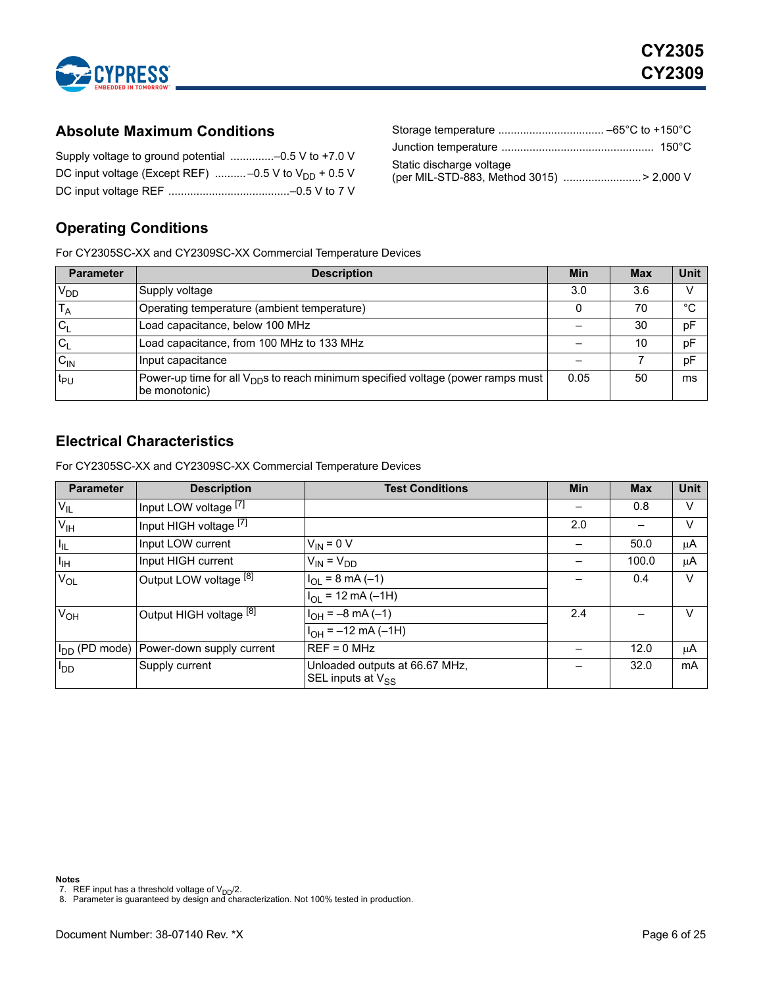

## <span id="page-5-0"></span>**Absolute Maximum Conditions**

## Supply voltage to ground potential ..............–0.5 V to +7.0 V DC input voltage (Except REF)  $\ldots$ ........-0.5 V to V<sub>DD</sub> + 0.5 V DC input voltage REF .......................................–0.5 V to 7 V

| Static discharge voltage                 |  |
|------------------------------------------|--|
| (per MIL-STD-883, Method 3015) > 2,000 V |  |

# <span id="page-5-1"></span>**Operating Conditions**

For CY2305SC-XX and CY2309SC-XX Commercial Temperature Devices

| <b>Parameter</b> | <b>Description</b>                                                                                            | <b>Min</b> | <b>Max</b> | <b>Unit</b> |
|------------------|---------------------------------------------------------------------------------------------------------------|------------|------------|-------------|
| $V_{DD}$         | Supply voltage                                                                                                | 3.0        | 3.6        | V           |
| $T_A$            | Operating temperature (ambient temperature)                                                                   |            | 70         | °C          |
| $C_1$            | Load capacitance, below 100 MHz                                                                               |            | 30         | pF          |
| $ C_L$           | Load capacitance, from 100 MHz to 133 MHz                                                                     |            | 10         | pF          |
| $C_{IN}$         | Input capacitance                                                                                             |            |            | pF          |
| t <sub>PU</sub>  | Power-up time for all $V_{\text{DD}}$ s to reach minimum specified voltage (power ramps must<br>be monotonic) | 0.05       | 50         | ms          |

# <span id="page-5-2"></span>**Electrical Characteristics**

For CY2305SC-XX and CY2309SC-XX Commercial Temperature Devices

| <b>Parameter</b> | <b>Description</b>                                  | <b>Test Conditions</b>                                   | <b>Min</b> | <b>Max</b> | Unit |
|------------------|-----------------------------------------------------|----------------------------------------------------------|------------|------------|------|
| $V_{IL}$         | Input LOW voltage [7]                               |                                                          |            | 0.8        | v    |
| $V_{\text{IH}}$  | Input HIGH voltage [7]                              |                                                          | 2.0        |            | v    |
| I <sub>IL</sub>  | Input LOW current                                   | $V_{IN} = 0 V$                                           |            | 50.0       | μA   |
| Iн               | Input HIGH current                                  | $V_{IN} = V_{DD}$                                        |            | 100.0      | μA   |
| $V_{OL}$         | Output LOW voltage [8]                              | $I_{OL}$ = 8 mA (-1)                                     |            | 0.4        | v    |
|                  |                                                     | $IOL = 12 mA (-1H)$                                      |            |            |      |
| $V_{OH}$         | Output HIGH voltage [8]                             | $H_{OH} = -8 \text{ mA} (-1)$                            | 2.4        |            | V    |
|                  |                                                     | $I_{OH} = -12$ mA (-1H)                                  |            |            |      |
|                  | I <sub>DD</sub> (PD mode) Power-down supply current | $REF = 0 MHz$                                            |            | 12.0       | μA   |
| $I_{DD}$         | Supply current                                      | Unloaded outputs at 66.67 MHz,<br>SEL inputs at $V_{SS}$ |            | 32.0       | mA   |

#### **Notes**

<span id="page-5-3"></span>

<span id="page-5-4"></span>7. REF input has a threshold voltage of V<sub>DD</sub>/2.<br>8. Parameter is guaranteed by design and characterization. Not 100% tested in production.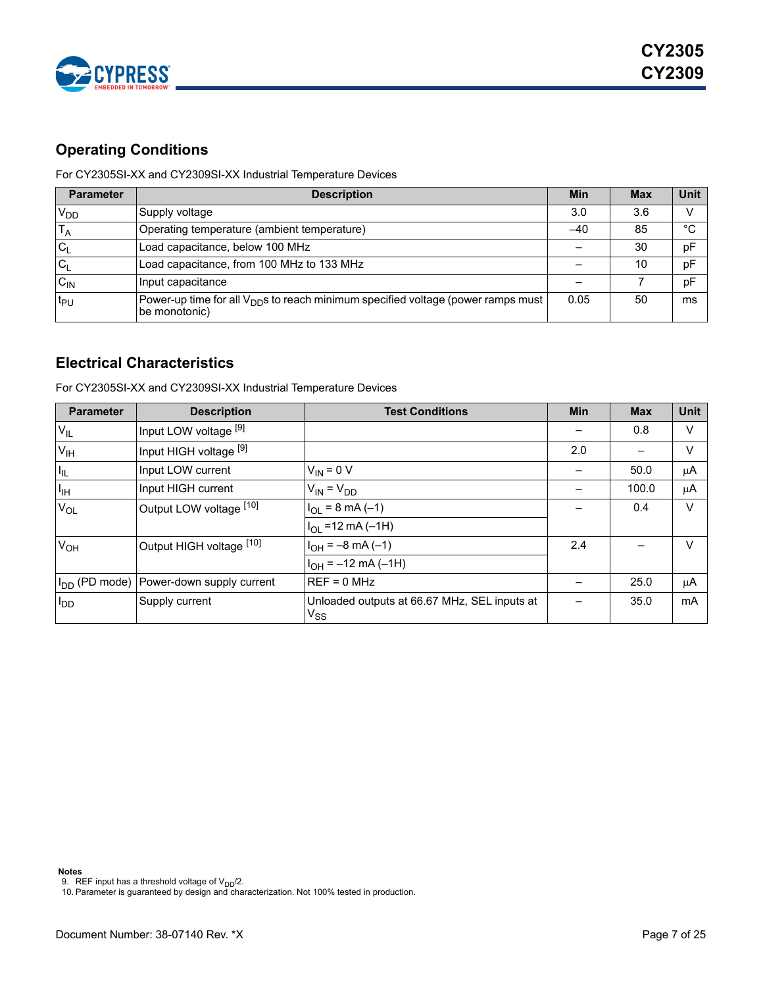

# <span id="page-6-0"></span>**Operating Conditions**

For CY2305SI-XX and CY2309SI-XX Industrial Temperature Devices

| <b>Parameter</b> | <b>Description</b>                                                                                            | Min  | <b>Max</b> | <b>Unit</b> |
|------------------|---------------------------------------------------------------------------------------------------------------|------|------------|-------------|
| $V_{DD}$         | Supply voltage                                                                                                | 3.0  | 3.6        |             |
|                  | Operating temperature (ambient temperature)                                                                   | -40  | 85         | °C          |
| $C_1$            | Load capacitance, below 100 MHz                                                                               |      | 30         | pF          |
| $C_1$            | Load capacitance, from 100 MHz to 133 MHz                                                                     |      | 10         | pF          |
| $C_{IN}$         | Input capacitance                                                                                             |      |            | pF          |
| t <sub>PU</sub>  | Power-up time for all $V_{\text{DD}}$ s to reach minimum specified voltage (power ramps must<br>be monotonic) | 0.05 | 50         | ms          |

## <span id="page-6-1"></span>**Electrical Characteristics**

For CY2305SI-XX and CY2309SI-XX Industrial Temperature Devices

| <b>Parameter</b> | <b>Description</b>                                  | <b>Test Conditions</b>                                   | <b>Min</b> | <b>Max</b> | Unit   |
|------------------|-----------------------------------------------------|----------------------------------------------------------|------------|------------|--------|
| $V_{IL}$         | Input LOW voltage [9]                               |                                                          |            | 0.8        | $\vee$ |
| V <sub>IH</sub>  | Input HIGH voltage [9]                              |                                                          | 2.0        |            | V      |
| I <sub>IL</sub>  | Input LOW current                                   | $V_{IN} = 0 V$                                           |            | 50.0       | μA     |
| Iы               | Input HIGH current                                  | $V_{IN} = V_{DD}$                                        |            | 100.0      | μA     |
| $V_{OL}$         | Output LOW voltage [10]                             | $I_{OL}$ = 8 mA (-1)                                     |            | 0.4        | V      |
|                  |                                                     | $I_{OL}$ =12 mA (-1H)                                    |            |            |        |
| $V_{OH}$         | Output HIGH voltage [10]                            | $I_{OH} = -8 \text{ mA} (-1)$                            | 2.4        |            | $\vee$ |
|                  |                                                     | $I_{OH} = -12$ mA (-1H)                                  |            |            |        |
|                  | I <sub>DD</sub> (PD mode) Power-down supply current | $REF = 0 MHz$                                            |            | 25.0       | μA     |
| $I_{DD}$         | Supply current                                      | Unloaded outputs at 66.67 MHz, SEL inputs at<br>$V_{SS}$ |            | 35.0       | mA     |

<span id="page-6-3"></span><span id="page-6-2"></span>

9. REF input has a threshold voltage of V<sub>DD</sub>/2.<br>10. Parameter is guaranteed by design and characterization. Not 100% tested in production.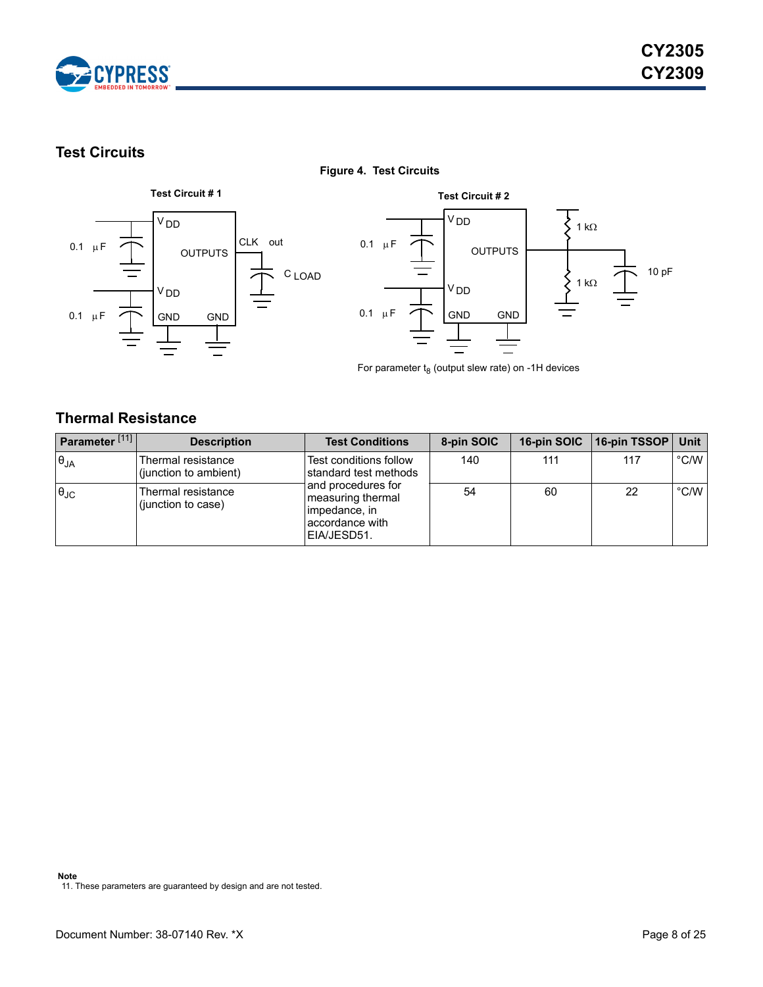

# <span id="page-7-0"></span>**Test Circuits**

# 0.1  $\mu$ F V DD 0.1  $\mu$ F V DD CLK out C LOAD OUTPUTS GND GND



For parameter  $t_8$  (output slew rate) on -1H devices

## <span id="page-7-1"></span>**Thermal Resistance**

| Parameter <sup>[11]</sup> | <b>Description</b>                          | <b>Test Conditions</b>                                                                      | 8-pin SOIC | 16-pin SOIC | 16-pin TSSOP   Unit |               |
|---------------------------|---------------------------------------------|---------------------------------------------------------------------------------------------|------------|-------------|---------------------|---------------|
| $\theta_{JA}$             | Thermal resistance<br>(junction to ambient) | Test conditions follow<br>standard test methods                                             | 140        | 111         | 117                 | $\degree$ C/W |
| $\theta_{\text{JC}}$      | Thermal resistance<br>(junction to case)    | and procedures for<br>measuring thermal<br>limpedance, in<br>accordance with<br>EIA/JESD51. | 54         | 60          | 22                  | $\degree$ C/W |

**Figure 4. Test Circuits**

#### **Note**

<span id="page-7-2"></span>11. These parameters are guaranteed by design and are not tested.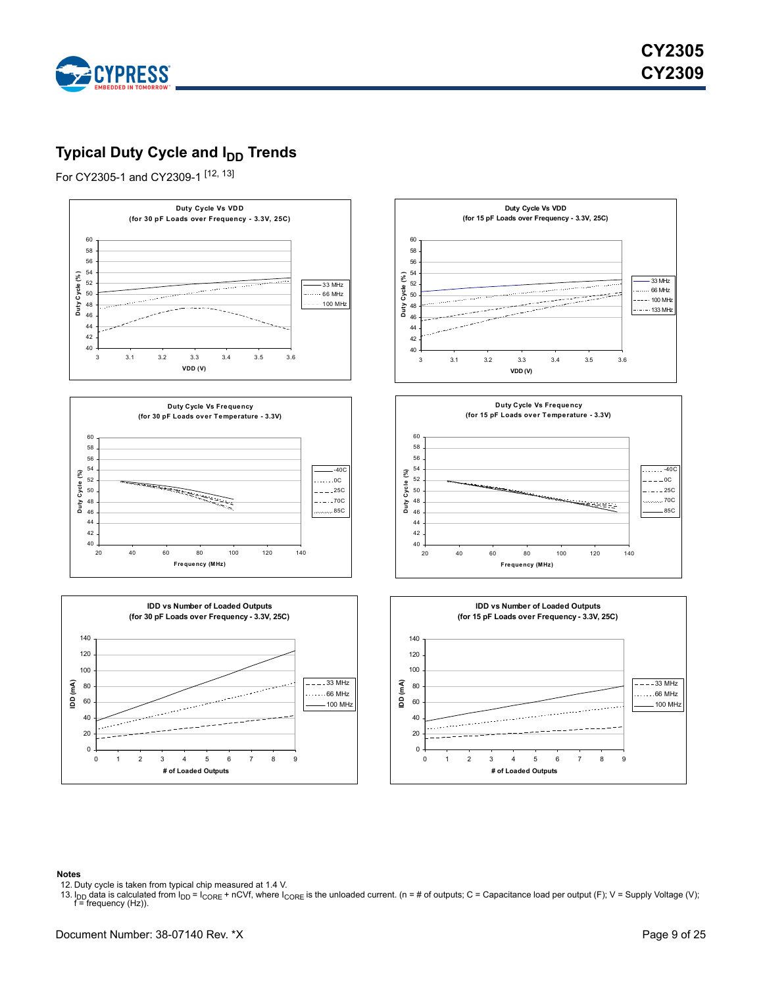

# <span id="page-8-0"></span>**Typical Duty Cycle and I<sub>DD</sub> Trends**

For CY2305-1 and CY2309-1 [\[12](#page-8-1), [13](#page-8-2)]



#### **Notes**

<span id="page-8-1"></span>12. Duty cycle is taken from typical chip measured at 1.4 V.

<span id="page-8-2"></span>13. I<sub>DD</sub> data is calculated from  $I_{DD} = I_{CORE} + nCVf$ , where  $I_{CORE}$  is the unloaded current. (n = # of outputs; C = Capacitance load per output (F); V = Supply Voltage (V); f = frequency (Hz).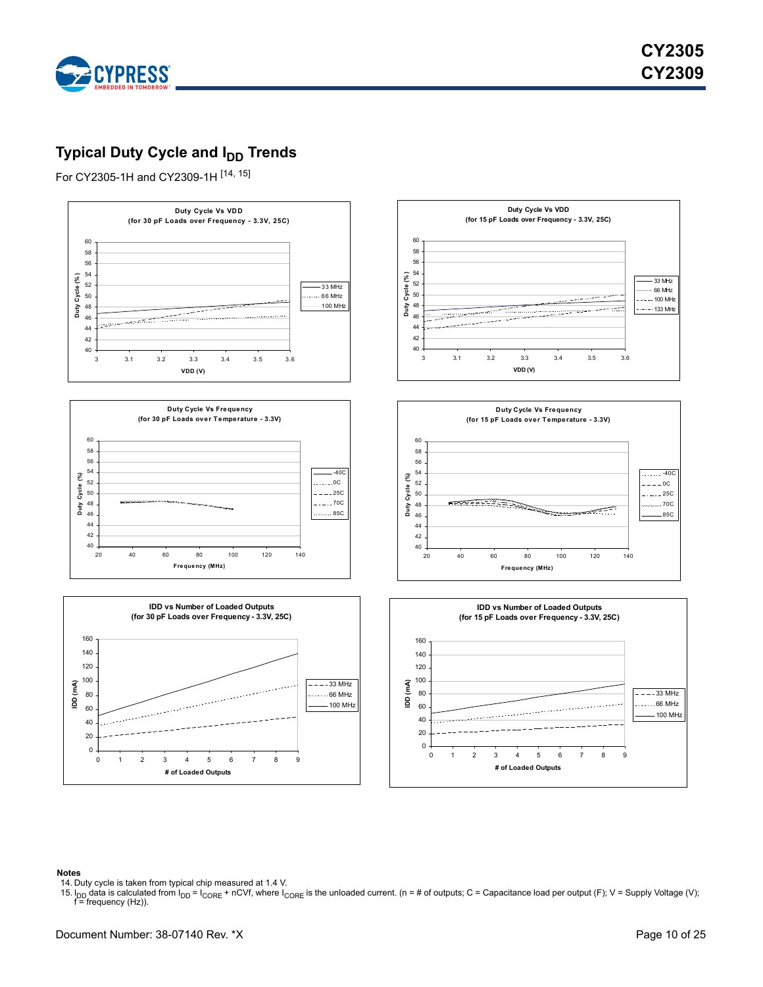

# <span id="page-9-0"></span>**Typical Duty Cycle and I<sub>DD</sub> Trends**

For CY2305-1H and CY2309-1H [\[14](#page-9-1), [15](#page-9-2)]



#### **Notes**

<span id="page-9-1"></span>14. Duty cycle is taken from typical chip measured at 1.4 V.

<span id="page-9-2"></span>15. I<sub>DD</sub> data is calculated from I<sub>DD</sub> = I<sub>CORE</sub> + nCVf, where I<sub>CORE</sub> is the unloaded current. (n = # of outputs; C = Capacitance load per output (F); V = Supply Voltage (V); f = frequency (Hz)).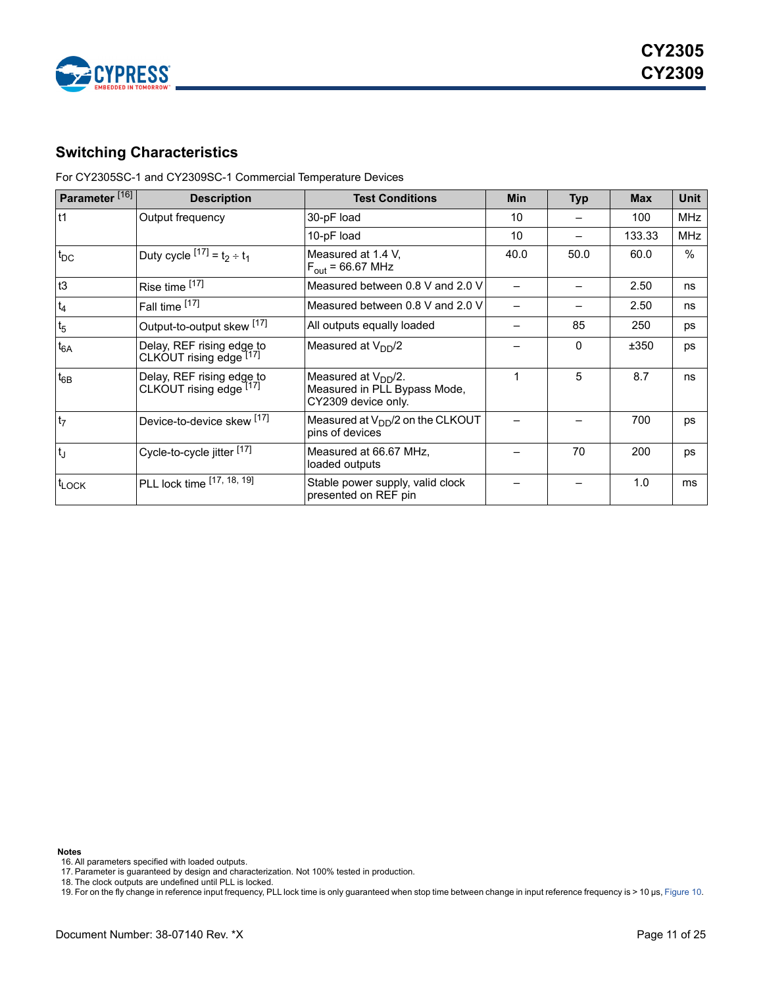

<span id="page-10-0"></span>For CY2305SC-1 and CY2309SC-1 Commercial Temperature Devices

| Parameter <sup>[16]</sup> | <b>Description</b>                                   | <b>Test Conditions</b>                                                                 | <b>Min</b>      | <b>Typ</b> | <b>Max</b> | Unit       |
|---------------------------|------------------------------------------------------|----------------------------------------------------------------------------------------|-----------------|------------|------------|------------|
| $11$                      | Output frequency                                     | 30-pF load                                                                             | 10              |            | 100        | <b>MHz</b> |
|                           |                                                      | 10-pF load                                                                             | 10 <sup>°</sup> |            | 133.33     | <b>MHz</b> |
| $t_{DC}$                  | Duty cycle $[17] = t_2 \div t_1$                     | Measured at 1.4 V.<br>$F_{\text{out}}$ = 66.67 MHz                                     | 40.0            | 50.0       | 60.0       | $\%$       |
| t3                        | Rise time [17]                                       | Measured between 0.8 V and 2.0 V                                                       |                 |            | 2.50       | ns         |
| $t_4$                     | Fall time [17]                                       | Measured between 0.8 V and 2.0 V                                                       |                 |            | 2.50       | ns         |
| t <sub>5</sub>            | Output-to-output skew [17]                           | All outputs equally loaded                                                             |                 | 85         | 250        | ps         |
| $t_{6A}$                  | Delay, REF rising edge to<br>CLKOUT rising edge [17] | Measured at $V_{DD}/2$                                                                 |                 | $\Omega$   | ±350       | ps         |
| $t_{6B}$                  | Delay, REF rising edge to<br>CLKOUT rising edge [17] | Measured at V <sub>DD</sub> /2.<br>Measured in PLL Bypass Mode,<br>CY2309 device only. | 1               | 5          | 8.7        | ns         |
| t <sub>7</sub>            | Device-to-device skew [17]                           | Measured at $V_{DD}/2$ on the CLKOUT<br>pins of devices                                |                 |            | 700        | ps         |
| $t_{\rm J}$               | Cycle-to-cycle jitter [17]                           | Measured at 66.67 MHz,<br>loaded outputs                                               |                 | 70         | 200        | ps         |
| tLOCK                     | PLL lock time [17, 18, 19]                           | Stable power supply, valid clock<br>presented on REF pin                               |                 |            | 1.0        | ms         |

**Notes**

<span id="page-10-1"></span><sup>16.</sup> All parameters specified with loaded outputs.

<span id="page-10-2"></span><sup>17.</sup> Parameter is guaranteed by design and characterization. Not 100% tested in production.

<span id="page-10-3"></span><sup>18.</sup> The clock outputs are undefined until PLL is locked.

<span id="page-10-4"></span><sup>19.</sup> For on the fly change in reference input frequency, PLL lock time is only guaranteed when stop time between change in input reference frequency is > 10 µs, [Figure 10](#page-14-1).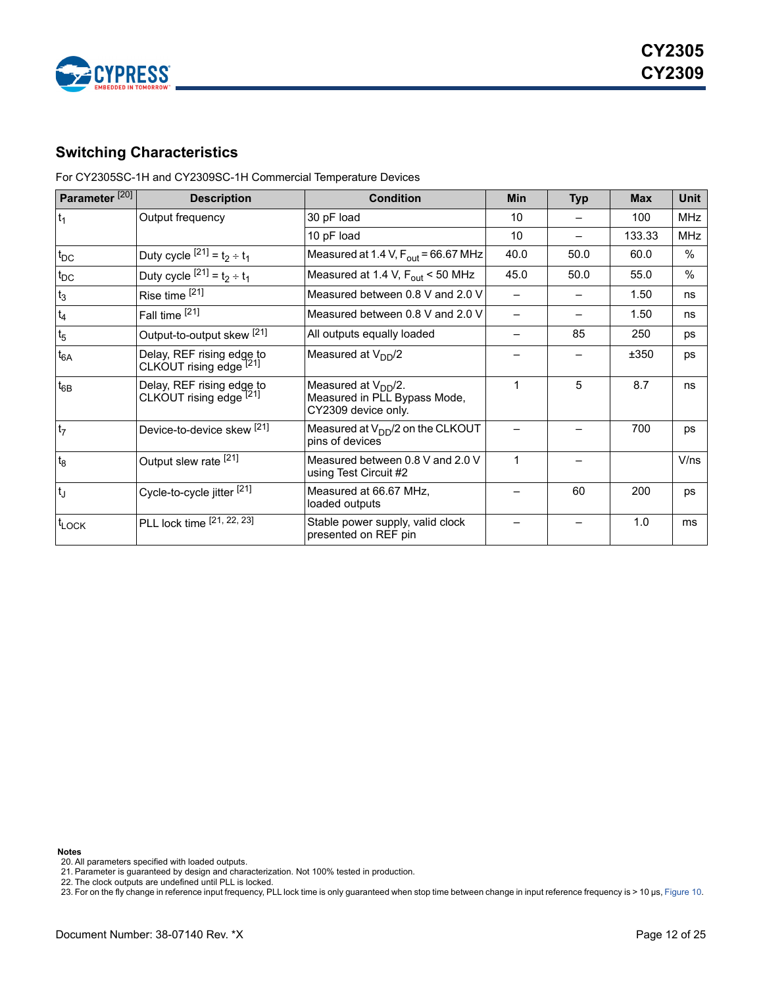

<span id="page-11-0"></span>For CY2305SC-1H and CY2309SC-1H Commercial Temperature Devices

| Parameter <sup>[20]</sup> | <b>Description</b>                                   | <b>Condition</b>                                                                       | <b>Min</b> | <b>Typ</b> | <b>Max</b> | Unit       |
|---------------------------|------------------------------------------------------|----------------------------------------------------------------------------------------|------------|------------|------------|------------|
| $t_1$                     | Output frequency                                     | 30 pF load                                                                             | 10         |            | 100        | <b>MHz</b> |
|                           |                                                      | 10 pF load                                                                             | 10         |            | 133.33     | <b>MHz</b> |
| $t_{DC}$                  | Duty cycle $[21] = t_2 \div t_1$                     | Measured at 1.4 V, $F_{\text{out}}$ = 66.67 MHz                                        | 40.0       | 50.0       | 60.0       | $\%$       |
| $t_{DC}$                  | Duty cycle $[21] = t_2 \div t_1$                     | Measured at 1.4 V, F <sub>out</sub> < 50 MHz                                           | 45.0       | 50.0       | 55.0       | $\%$       |
| $t_3$                     | Rise time [21]                                       | Measured between 0.8 V and 2.0 V                                                       |            |            | 1.50       | ns         |
| $t_4$                     | Fall time [21]                                       | Measured between 0.8 V and 2.0 V                                                       |            |            | 1.50       | ns         |
| t <sub>5</sub>            | Output-to-output skew <sup>[21]</sup>                | All outputs equally loaded                                                             |            | 85         | 250        | ps         |
| $t_{6A}$                  | Delay, REF rising edge to<br>CLKOUT rising edge [21] | Measured at $V_{DD}/2$                                                                 |            |            | ±350       | ps         |
| $t_{6B}$                  | Delay, REF rising edge to<br>CLKOUT rising edge [21] | Measured at V <sub>DD</sub> /2.<br>Measured in PLL Bypass Mode,<br>CY2309 device only. | 1          | 5          | 8.7        | ns         |
| t <sub>7</sub>            | Device-to-device skew [21]                           | Measured at $V_{DD}/2$ on the CLKOUT<br>pins of devices                                |            |            | 700        | ps         |
| t <sub>8</sub>            | Output slew rate [21]                                | Measured between 0.8 V and 2.0 V<br>using Test Circuit #2                              | 1          |            |            | V/ns       |
| t」                        | Cycle-to-cycle jitter [21]                           | Measured at 66.67 MHz,<br>loaded outputs                                               |            | 60         | 200        | ps         |
| t <sub>LOCK</sub>         | PLL lock time [21, 22, 23]                           | Stable power supply, valid clock<br>presented on REF pin                               |            |            | 1.0        | ms         |

**Notes**

<span id="page-11-2"></span><span id="page-11-1"></span><sup>20.</sup> All parameters specified with loaded outputs. 21. Parameter is guaranteed by design and characterization. Not 100% tested in production.

<span id="page-11-4"></span><span id="page-11-3"></span>

<sup>22.</sup> The clock outputs are undefined until PLL is locked.<br>23. For on the fly change in reference input frequency, PLL lock time is only guaranteed when stop time between change in input reference frequency is > 10 µs, Figur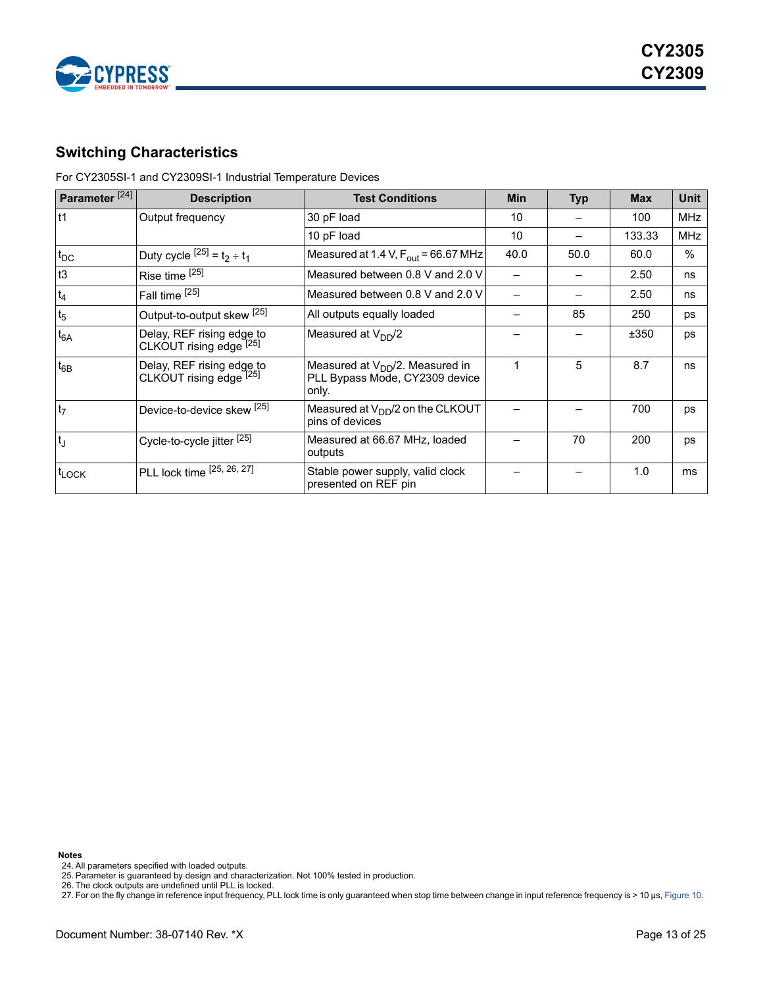

<span id="page-12-0"></span>For CY2305SI-1 and CY2309SI-1 Industrial Temperature Devices

| Parameter <sup>[24]</sup> | <b>Description</b>                                              | <b>Test Conditions</b>                                                          | <b>Min</b> | <b>Typ</b> | <b>Max</b> | Unit       |
|---------------------------|-----------------------------------------------------------------|---------------------------------------------------------------------------------|------------|------------|------------|------------|
| lt1                       | Output frequency                                                | 30 pF load                                                                      | 10         |            | 100        | <b>MHz</b> |
|                           |                                                                 | 10 pF load                                                                      | 10         |            | 133.33     | <b>MHz</b> |
| $t_{DC}$                  | Duty cycle $[{}^{25]}$ = t <sub>2</sub> ÷ t <sub>1</sub>        | Measured at 1.4 V, $F_{\text{out}}$ = 66.67 MHz                                 | 40.0       | 50.0       | 60.0       | $\%$       |
| t3                        | Rise time [25]                                                  | Measured between 0.8 V and 2.0 V                                                |            |            | 2.50       | ns         |
| $t_4$                     | Fall time [25]                                                  | Measured between 0.8 V and 2.0 V                                                |            |            | 2.50       | ns         |
| t <sub>5</sub>            | Output-to-output skew [25]                                      | All outputs equally loaded                                                      |            | 85         | 250        | ps         |
| $t_{6A}$                  | Delay, REF rising edge to<br>CLKOUT rising edge [25]            | Measured at $V_{DD}/2$                                                          |            |            | ±350       | ps         |
| $t_{6B}$                  | Delay, REF rising edge to<br>CLKOUT rising edge <sup>[25]</sup> | Measured at $V_{DD}/2$ . Measured in<br>PLL Bypass Mode, CY2309 device<br>only. | 1          | 5          | 8.7        | ns         |
| t <sub>7</sub>            | Device-to-device skew [25]                                      | Measured at $V_{DD}/2$ on the CLKOUT<br>pins of devices                         |            |            | 700        | ps         |
| t」                        | Cycle-to-cycle jitter <sup>[25]</sup>                           | Measured at 66.67 MHz, loaded<br>outputs                                        |            | 70         | 200        | ps         |
| t <sub>LOCK</sub>         | PLL lock time [25, 26, 27]                                      | Stable power supply, valid clock<br>presented on REF pin                        |            |            | 1.0        | ms         |

**Notes**

<span id="page-12-4"></span><span id="page-12-1"></span>24. All parameters specified with loaded outputs. 25. Parameter is guaranteed by design and characterization. Not 100% tested in production. 26. The clock outputs are undefined until PLL is locked.

<span id="page-12-2"></span>

<span id="page-12-3"></span>27. For on the fly change in reference input frequency, PLL lock time is only guaranteed when stop time between change in input reference frequency is > 10 µs, [Figure 10](#page-14-1).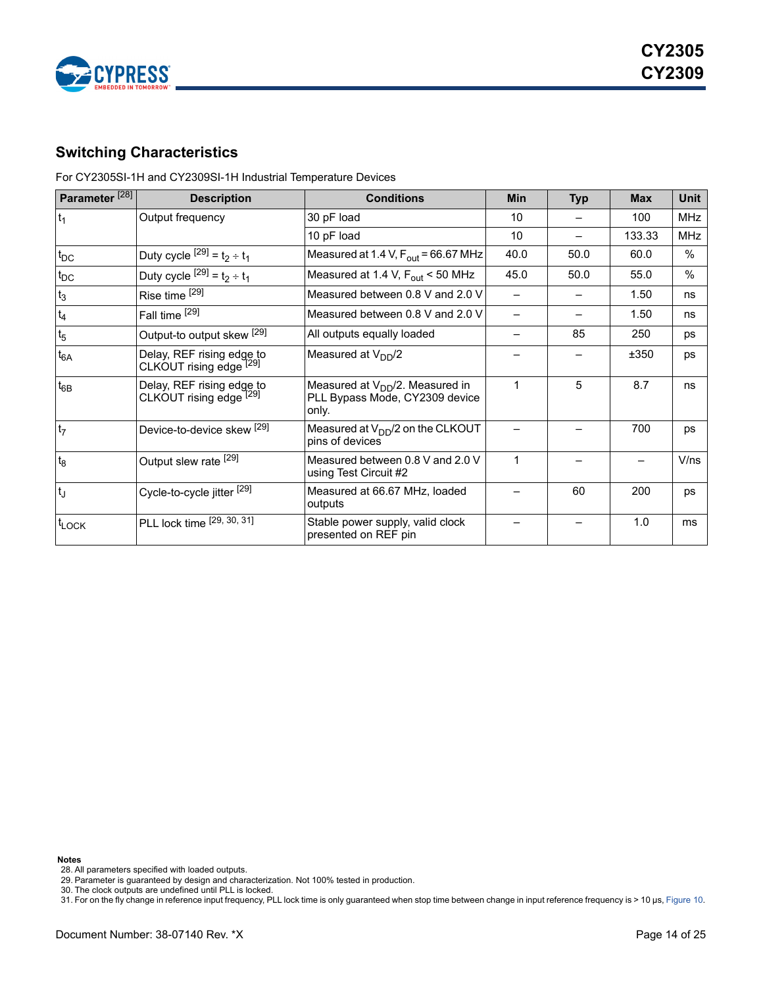

<span id="page-13-0"></span>For CY2305SI-1H and CY2309SI-1H Industrial Temperature Devices

| Parameter <sup>[28]</sup> | <b>Description</b>                                              | <b>Conditions</b>                                                               | <b>Min</b> | <b>Typ</b> | <b>Max</b> | <b>Unit</b>   |
|---------------------------|-----------------------------------------------------------------|---------------------------------------------------------------------------------|------------|------------|------------|---------------|
| $t_1$                     | Output frequency                                                | 30 pF load                                                                      | 10         |            | 100        | MHz           |
|                           |                                                                 | 10 pF load                                                                      | 10         |            | 133.33     | MHz           |
| $t_{DC}$                  | Duty cycle $[{}^{29]}$ = t <sub>2</sub> ÷ t <sub>1</sub>        | Measured at 1.4 V, $F_{\text{out}}$ = 66.67 MHz                                 | 40.0       | 50.0       | 60.0       | $\%$          |
| $t_{DC}$                  | Duty cycle $[{}^{29]}$ = $t_2 \div t_1$                         | Measured at 1.4 V, $F_{\text{out}}$ < 50 MHz                                    | 45.0       | 50.0       | 55.0       | $\frac{0}{0}$ |
| $t_3$                     | Rise time [29]                                                  | Measured between 0.8 V and 2.0 V                                                |            |            | 1.50       | ns            |
| $t_4$                     | Fall time [29]                                                  | Measured between 0.8 V and 2.0 V                                                |            |            | 1.50       | ns            |
| $t_5$                     | Output-to output skew [29]                                      | All outputs equally loaded                                                      |            | 85         | 250        | ps            |
| $t_{6A}$                  | Delay, REF rising edge to<br>CLKOUT rising edge <sup>[29]</sup> | Measured at $V_{DD}/2$                                                          |            |            | ±350       | ps            |
| $t_{6B}$                  | Delay, REF rising edge to<br>CLKOUT rising edge [29]            | Measured at $V_{DD}/2$ . Measured in<br>PLL Bypass Mode, CY2309 device<br>only. | 1          | 5          | 8.7        | ns            |
| t <sub>7</sub>            | Device-to-device skew [29]                                      | Measured at $V_{DD}/2$ on the CLKOUT<br>pins of devices                         |            |            | 700        | ps            |
| t <sub>8</sub>            | Output slew rate [29]                                           | Measured between 0.8 V and 2.0 V<br>using Test Circuit #2                       | 1          |            |            | V/ns          |
| t                         | Cycle-to-cycle jitter [29]                                      | Measured at 66.67 MHz, loaded<br>outputs                                        |            | 60         | 200        | ps            |
| $t_{\text{LOCK}}$         | PLL lock time [29, 30, 31]                                      | Stable power supply, valid clock<br>presented on REF pin                        |            |            | 1.0        | <sub>ms</sub> |

**Notes**

<span id="page-13-4"></span><span id="page-13-1"></span>28. All parameters specified with loaded outputs. 29. Parameter is guaranteed by design and characterization. Not 100% tested in production. 30. The clock outputs are undefined until PLL is locked.

<span id="page-13-2"></span>

<span id="page-13-3"></span>31. For on the fly change in reference input frequency, PLL lock time is only guaranteed when stop time between change in input reference frequency is > 10 µs, [Figure 10](#page-14-1).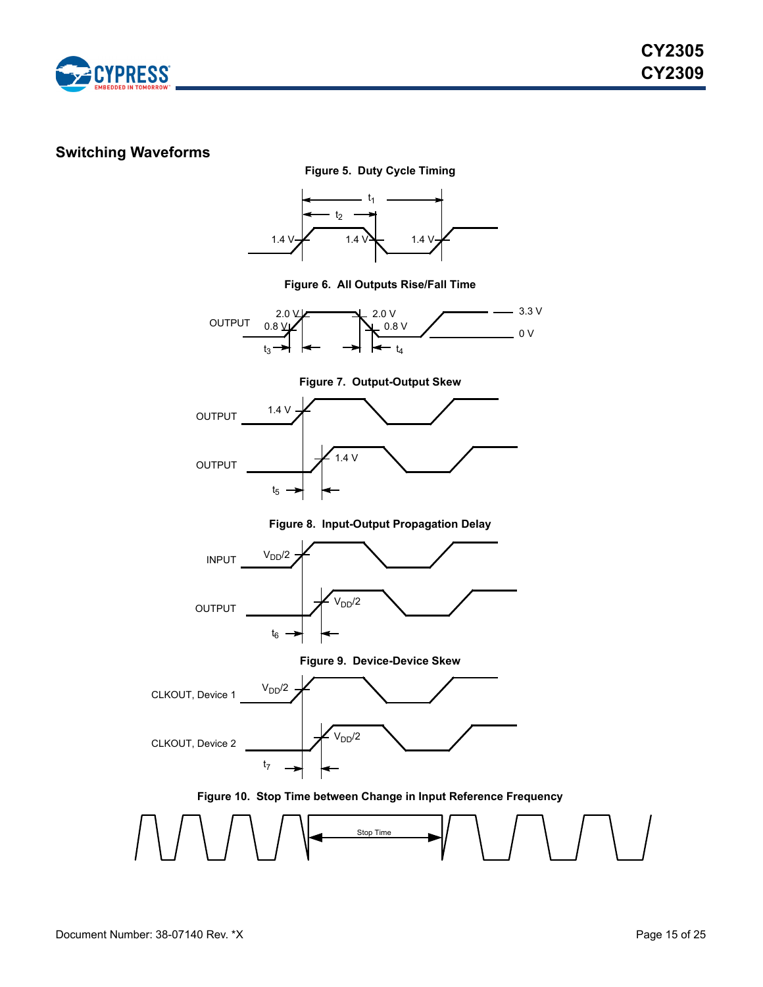

## <span id="page-14-0"></span>**Switching Waveforms**



**Figure 6. All Outputs Rise/Fall Time**



**Figure 7. Output-Output Skew**



**Figure 8. Input-Output Propagation Delay**



**Figure 9. Device-Device Skew**



**Figure 10. Stop Time between Change in Input Reference Frequency**

<span id="page-14-1"></span>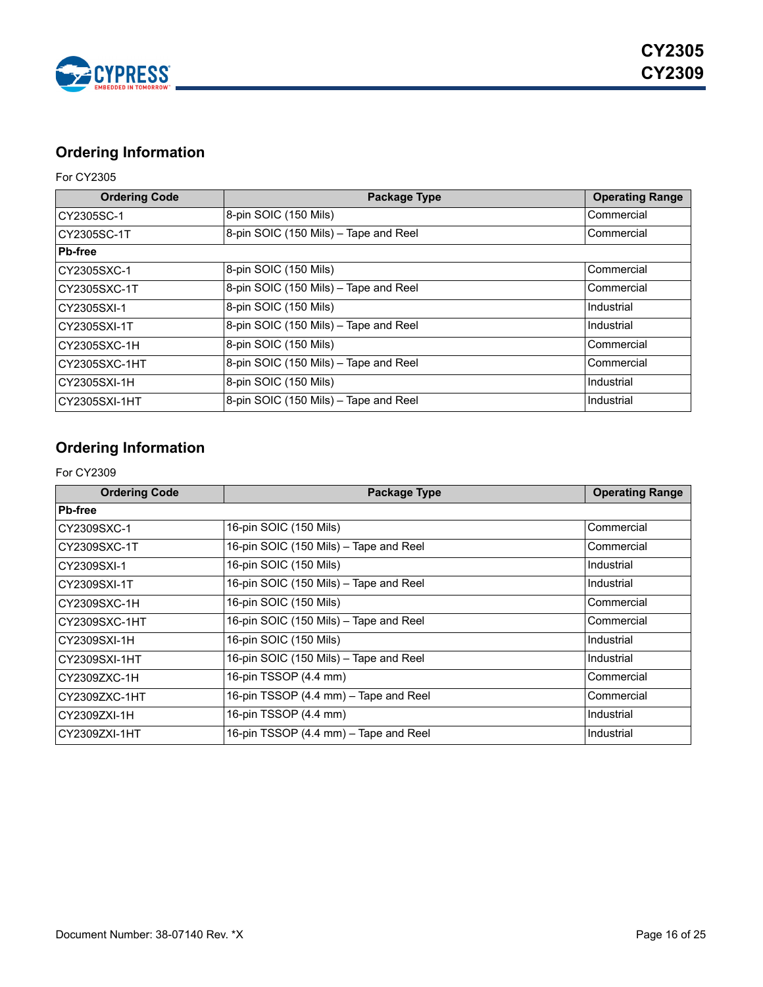

# <span id="page-15-0"></span>**Ordering Information**

## For CY2305

| <b>Ordering Code</b> | <b>Package Type</b>                   | <b>Operating Range</b> |
|----------------------|---------------------------------------|------------------------|
| CY2305SC-1           | 8-pin SOIC (150 Mils)                 | Commercial             |
| CY2305SC-1T          | 8-pin SOIC (150 Mils) - Tape and Reel | Commercial             |
| <b>Pb-free</b>       |                                       |                        |
| CY2305SXC-1          | 8-pin SOIC (150 Mils)                 | Commercial             |
| CY2305SXC-1T         | 8-pin SOIC (150 Mils) - Tape and Reel | Commercial             |
| CY2305SXI-1          | 8-pin SOIC (150 Mils)                 | Industrial             |
| CY2305SXI-1T         | 8-pin SOIC (150 Mils) - Tape and Reel | Industrial             |
| CY2305SXC-1H         | 8-pin SOIC (150 Mils)                 | Commercial             |
| CY2305SXC-1HT        | 8-pin SOIC (150 Mils) - Tape and Reel | Commercial             |
| CY2305SXI-1H         | 8-pin SOIC (150 Mils)                 | Industrial             |
| CY2305SXI-1HT        | 8-pin SOIC (150 Mils) - Tape and Reel | Industrial             |

# <span id="page-15-1"></span>**Ordering Information**

## For CY2309

| <b>Ordering Code</b> | Package Type                           | <b>Operating Range</b> |
|----------------------|----------------------------------------|------------------------|
| <b>Pb-free</b>       |                                        |                        |
| CY2309SXC-1          | 16-pin SOIC (150 Mils)                 | Commercial             |
| CY2309SXC-1T         | 16-pin SOIC (150 Mils) - Tape and Reel | Commercial             |
| CY2309SXI-1          | 16-pin SOIC (150 Mils)                 | Industrial             |
| CY2309SXI-1T         | 16-pin SOIC (150 Mils) - Tape and Reel | Industrial             |
| CY2309SXC-1H         | 16-pin SOIC (150 Mils)                 | Commercial             |
| CY2309SXC-1HT        | 16-pin SOIC (150 Mils) - Tape and Reel | Commercial             |
| CY2309SXI-1H         | 16-pin SOIC (150 Mils)                 | Industrial             |
| CY2309SXI-1HT        | 16-pin SOIC (150 Mils) - Tape and Reel | Industrial             |
| CY2309ZXC-1H         | 16-pin TSSOP (4.4 mm)                  | Commercial             |
| CY2309ZXC-1HT        | 16-pin TSSOP (4.4 mm) - Tape and Reel  | Commercial             |
| CY2309ZXI-1H         | 16-pin TSSOP (4.4 mm)                  | Industrial             |
| CY2309ZXI-1HT        | 16-pin TSSOP (4.4 mm) - Tape and Reel  | Industrial             |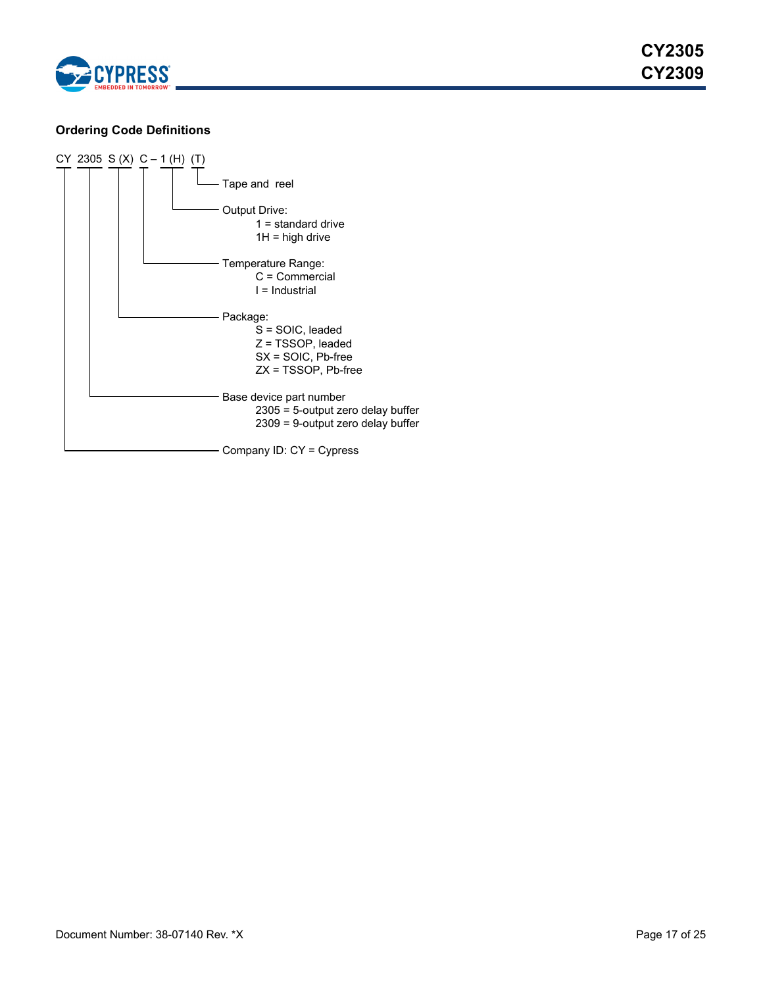

## <span id="page-16-0"></span>**Ordering Code Definitions**

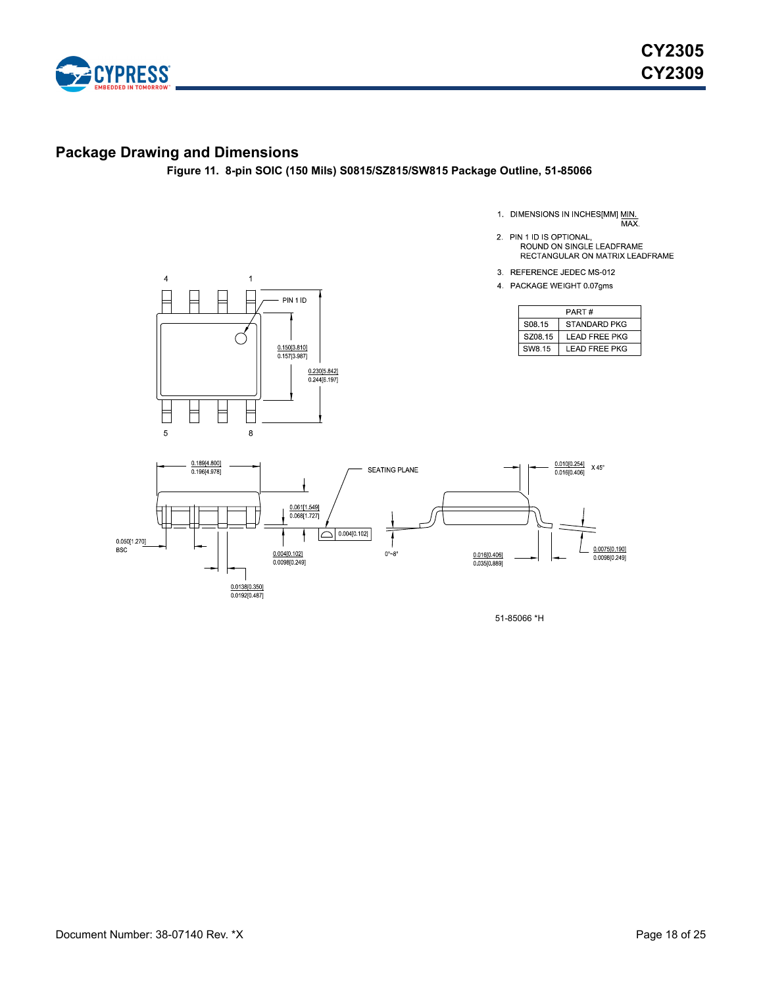

# <span id="page-17-0"></span>**Package Drawing and Dimensions**

**Figure 11. 8-pin SOIC (150 Mils) S0815/SZ815/SW815 Package Outline, 51-85066**

- 1. DIMENSIONS IN INCHES[MM] MIN.<br>MAX.
- 2. PIN 1 ID IS OPTIONAL, ROUND ON SINGLE LEADFRAME RECTANGULAR ON MATRIX LEADFRAME
- 3. REFERENCE JEDEC MS-012
- 4 PACKAGE WEIGHT 0.07gms

| PART#   |                      |  |  |
|---------|----------------------|--|--|
| S08.15  | <b>STANDARD PKG</b>  |  |  |
| SZ08.15 | LEAD FREE PKG        |  |  |
| SW8.15  | <b>LEAD FREE PKG</b> |  |  |





51-85066 \*H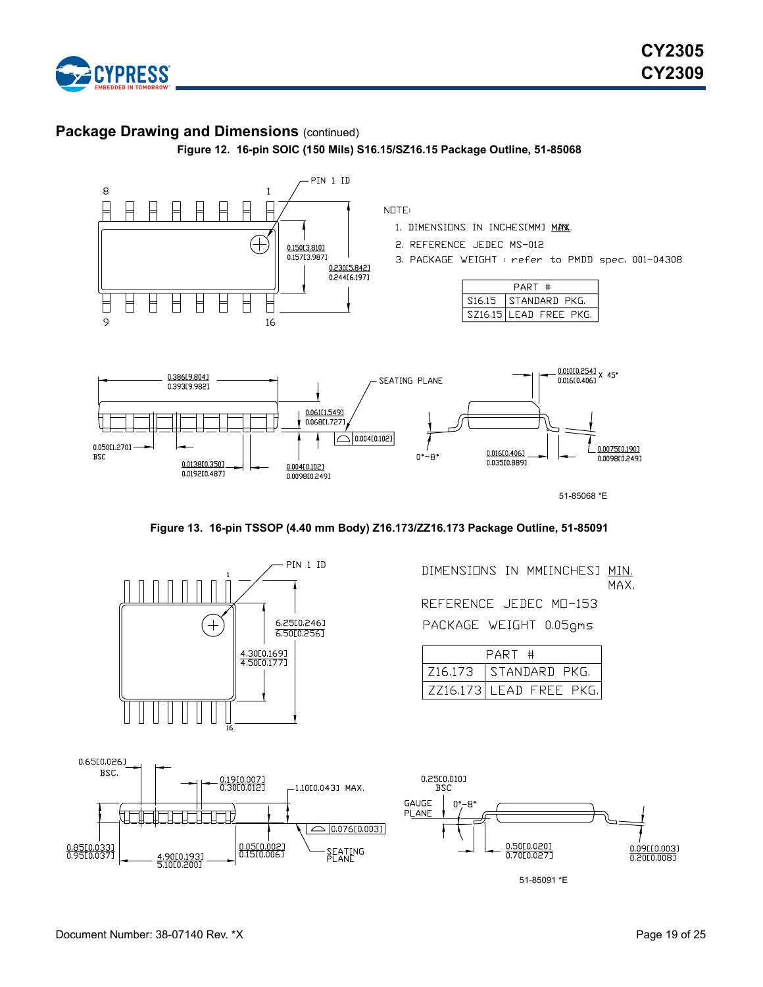

## **Package Drawing and Dimensions (continued)**

**Figure 12. 16-pin SOIC (150 Mils) S16.15/SZ16.15 Package Outline, 51-85068**







DIMENSIONS IN MMEINCHESJ MIN. MAX. REFERENCE JEDEC MD-153

PACKAGE WEIGHT 0.05gms

| PART # |                         |  |  |  |
|--------|-------------------------|--|--|--|
|        | Z16.173   STANDARD PKG. |  |  |  |
|        | ZZ16.173 LEAD FREE PKG. |  |  |  |

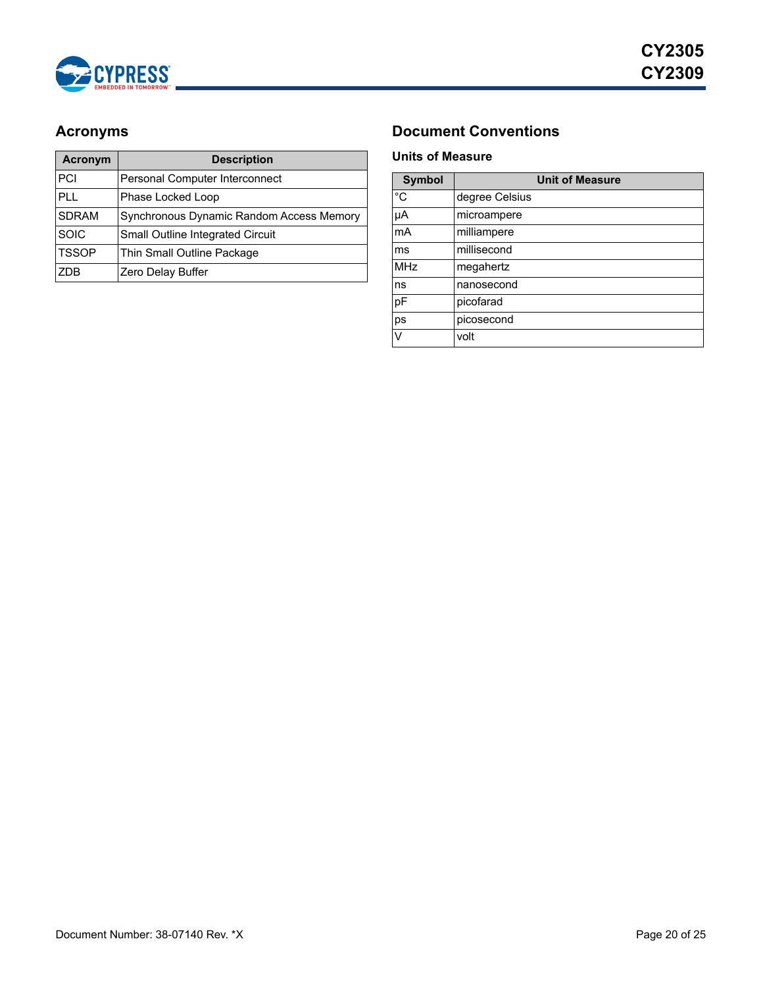

| <b>Acronym</b> | <b>Description</b>                       |
|----------------|------------------------------------------|
| PCI            | Personal Computer Interconnect           |
| <b>PLL</b>     | Phase Locked Loop                        |
| <b>SDRAM</b>   | Synchronous Dynamic Random Access Memory |
| <b>SOIC</b>    | Small Outline Integrated Circuit         |
| <b>TSSOP</b>   | Thin Small Outline Package               |
| <b>ZDB</b>     | Zero Delay Buffer                        |

# <span id="page-19-0"></span>Acronyms **Document Conventions**

## <span id="page-19-2"></span><span id="page-19-1"></span>**Units of Measure**

| <b>Symbol</b> | <b>Unit of Measure</b> |
|---------------|------------------------|
| $^{\circ}C$   | degree Celsius         |
| μA            | microampere            |
| mA            | milliampere            |
| ms            | millisecond            |
| <b>MHz</b>    | megahertz              |
| ns            | nanosecond             |
| pF            | picofarad              |
| ps            | picosecond             |
| V             | volt                   |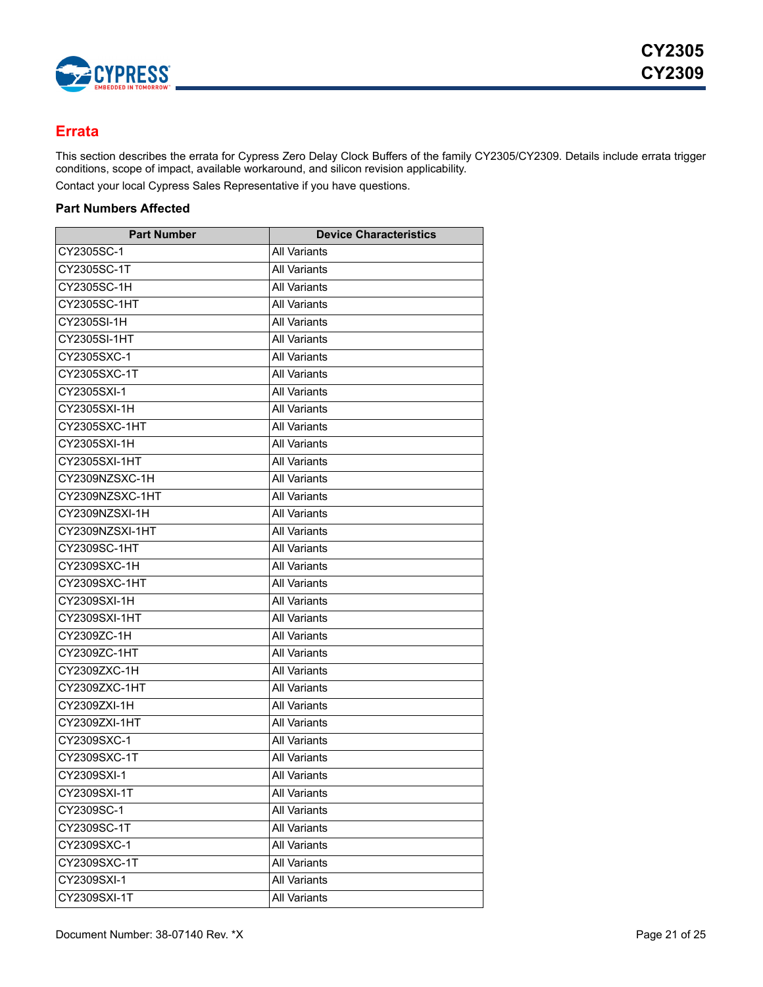

## <span id="page-20-0"></span>**Errata**

This section describes the errata for Cypress Zero Delay Clock Buffers of the family CY2305/CY2309. Details include errata trigger conditions, scope of impact, available workaround, and silicon revision applicability.

Contact your local Cypress Sales Representative if you have questions.

## <span id="page-20-1"></span>**Part Numbers Affected**

| <b>Part Number</b> | <b>Device Characteristics</b> |
|--------------------|-------------------------------|
| CY2305SC-1         | <b>All Variants</b>           |
| CY2305SC-1T        | <b>All Variants</b>           |
| CY2305SC-1H        | All Variants                  |
| CY2305SC-1HT       | <b>All Variants</b>           |
| CY2305SI-1H        | <b>All Variants</b>           |
| CY2305SI-1HT       | All Variants                  |
| CY2305SXC-1        | <b>All Variants</b>           |
| CY2305SXC-1T       | <b>All Variants</b>           |
| CY2305SXI-1        | <b>All Variants</b>           |
| CY2305SXI-1H       | <b>All Variants</b>           |
| CY2305SXC-1HT      | <b>All Variants</b>           |
| CY2305SXI-1H       | All Variants                  |
| CY2305SXI-1HT      | <b>All Variants</b>           |
| CY2309NZSXC-1H     | <b>All Variants</b>           |
| CY2309NZSXC-1HT    | All Variants                  |
| CY2309NZSXI-1H     | <b>All Variants</b>           |
| CY2309NZSXI-1HT    | <b>All Variants</b>           |
| CY2309SC-1HT       | All Variants                  |
| CY2309SXC-1H       | <b>All Variants</b>           |
| CY2309SXC-1HT      | <b>All Variants</b>           |
| CY2309SXI-1H       | All Variants                  |
| CY2309SXI-1HT      | <b>All Variants</b>           |
| CY2309ZC-1H        | <b>All Variants</b>           |
| CY2309ZC-1HT       | All Variants                  |
| CY2309ZXC-1H       | <b>All Variants</b>           |
| CY2309ZXC-1HT      | All Variants                  |
| CY2309ZXI-1H       | <b>All Variants</b>           |
| CY2309ZXI-1HT      | <b>All Variants</b>           |
| CY2309SXC-1        | <b>All Variants</b>           |
| CY2309SXC-1T       | <b>All Variants</b>           |
| CY2309SXI-1        | <b>All Variants</b>           |
| CY2309SXI-1T       | All Variants                  |
| CY2309SC-1         | <b>All Variants</b>           |
| CY2309SC-1T        | All Variants                  |
| CY2309SXC-1        | <b>All Variants</b>           |
| CY2309SXC-1T       | All Variants                  |
| CY2309SXI-1        | All Variants                  |
| CY2309SXI-1T       | <b>All Variants</b>           |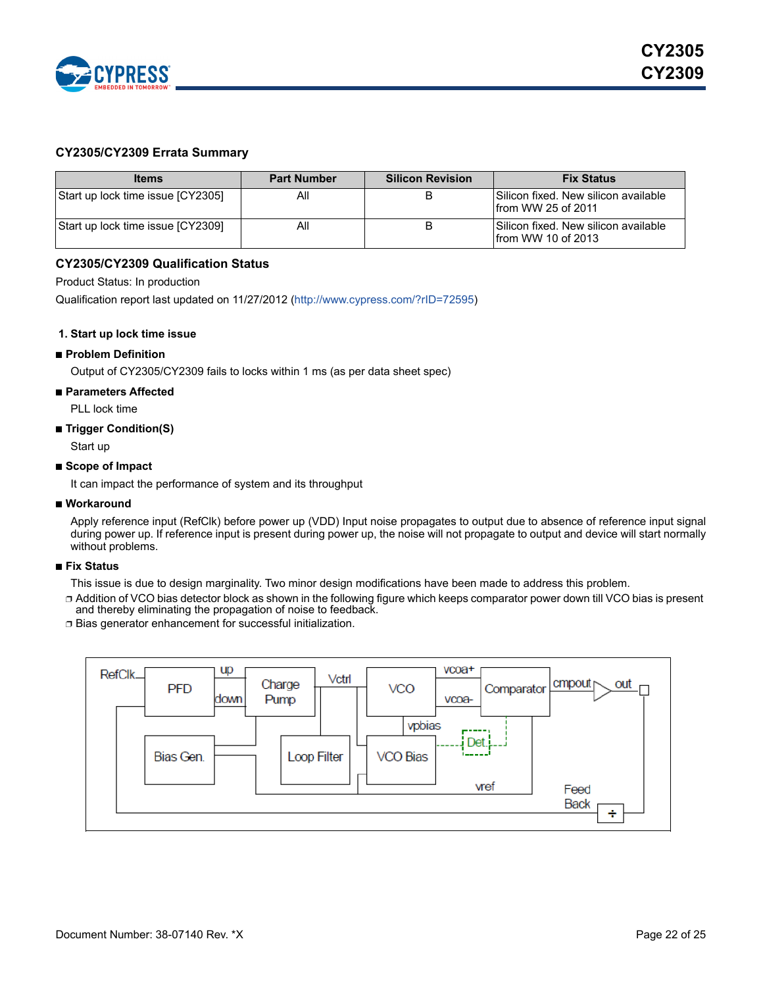

### <span id="page-21-0"></span>**CY2305/CY2309 Errata Summary**

| <b>Items</b>                      | <b>Part Number</b> | <b>Silicon Revision</b> | <b>Fix Status</b>                                                  |
|-----------------------------------|--------------------|-------------------------|--------------------------------------------------------------------|
| Start up lock time issue [CY2305] | ΑIΙ                |                         | Silicon fixed. New silicon available<br>from WW 25 of 2011         |
| Start up lock time issue [CY2309] | ΑIΙ                | B                       | Silicon fixed. New silicon available<br><b>Ifrom WW 10 of 2013</b> |

#### <span id="page-21-1"></span>**CY2305/CY2309 Qualification Status**

Product Status: In production

[Qualification report last updated on 11/27/2012 \(](http://www.cypress.com/?rID=36063)http://www.cypress.com/?rID=72595)

#### **1. Start up lock time issue**

#### ■ **Problem Definition**

Output of CY2305/CY2309 fails to locks within 1 ms (as per data sheet spec)

#### ■ **Parameters Affected**

PLL lock time

#### ■ **Trigger Condition(S)**

Start up

#### ■ **Scope of Impact**

It can impact the performance of system and its throughput

#### ■ Workaround

Apply reference input (RefClk) before power up (VDD) Input noise propagates to output due to absence of reference input signal during power up. If reference input is present during power up, the noise will not propagate to output and device will start normally without problems.

#### ■ **Fix Status**

This issue is due to design marginality. Two minor design modifications have been made to address this problem.

□ Addition of VCO bias detector block as shown in the following figure which keeps comparator power down till VCO bias is present and thereby eliminating the propagation of noise to feedback.

❐ Bias generator enhancement for successful initialization.

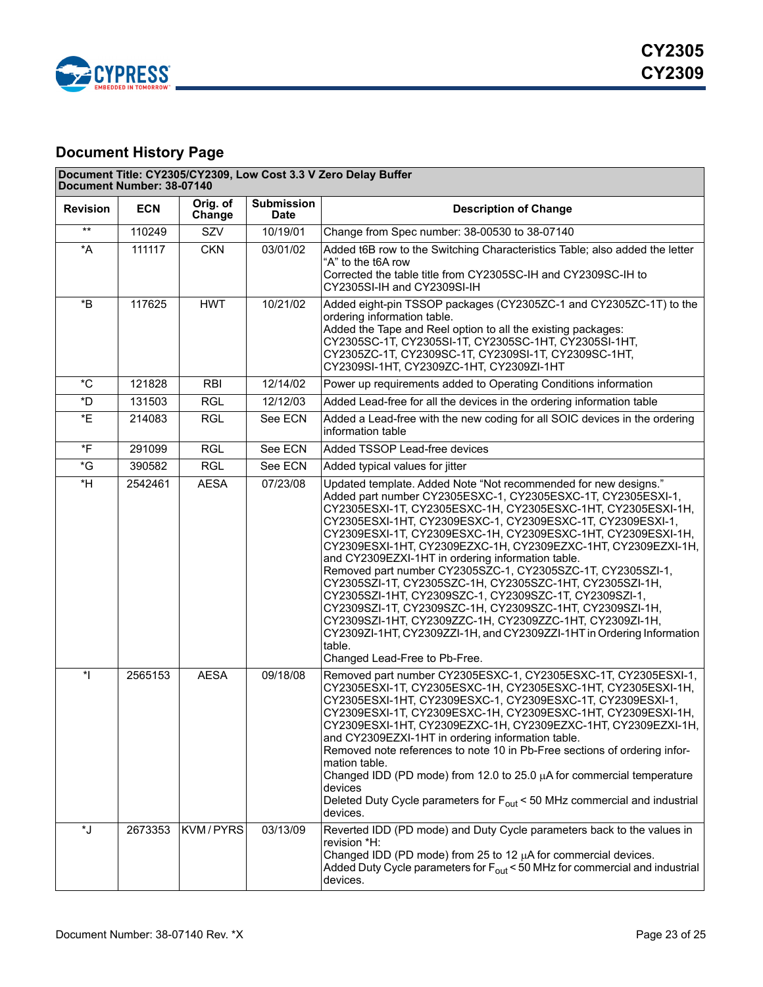

# <span id="page-22-0"></span>**Document History Page**

| Document Title: CY2305/CY2309, Low Cost 3.3 V Zero Delay Buffer<br>Document Number: 38-07140 |            |                    |                                  |                                                                                                                                                                                                                                                                                                                                                                                                                                                                                                                                                                                                                                                                                                                                                                                                                                                                                      |  |  |  |
|----------------------------------------------------------------------------------------------|------------|--------------------|----------------------------------|--------------------------------------------------------------------------------------------------------------------------------------------------------------------------------------------------------------------------------------------------------------------------------------------------------------------------------------------------------------------------------------------------------------------------------------------------------------------------------------------------------------------------------------------------------------------------------------------------------------------------------------------------------------------------------------------------------------------------------------------------------------------------------------------------------------------------------------------------------------------------------------|--|--|--|
| <b>Revision</b>                                                                              | <b>ECN</b> | Orig. of<br>Change | <b>Submission</b><br><b>Date</b> | <b>Description of Change</b>                                                                                                                                                                                                                                                                                                                                                                                                                                                                                                                                                                                                                                                                                                                                                                                                                                                         |  |  |  |
| $***$                                                                                        | 110249     | SZV                | 10/19/01                         | Change from Spec number: 38-00530 to 38-07140                                                                                                                                                                                                                                                                                                                                                                                                                                                                                                                                                                                                                                                                                                                                                                                                                                        |  |  |  |
| *A                                                                                           | 111117     | <b>CKN</b>         | 03/01/02                         | Added t6B row to the Switching Characteristics Table; also added the letter<br>"A" to the t6A row<br>Corrected the table title from CY2305SC-IH and CY2309SC-IH to<br>CY2305SI-IH and CY2309SI-IH                                                                                                                                                                                                                                                                                                                                                                                                                                                                                                                                                                                                                                                                                    |  |  |  |
| $\boldsymbol{^{\star} \mathsf{B}}$                                                           | 117625     | <b>HWT</b>         | 10/21/02                         | Added eight-pin TSSOP packages (CY2305ZC-1 and CY2305ZC-1T) to the<br>ordering information table.<br>Added the Tape and Reel option to all the existing packages:<br>CY2305SC-1T, CY2305SI-1T, CY2305SC-1HT, CY2305SI-1HT,<br>CY2305ZC-1T, CY2309SC-1T, CY2309SI-1T, CY2309SC-1HT,<br>CY2309SI-1HT, CY2309ZC-1HT, CY2309ZI-1HT                                                                                                                                                                                                                                                                                                                                                                                                                                                                                                                                                       |  |  |  |
| $^{\star}$ C                                                                                 | 121828     | <b>RBI</b>         | 12/14/02                         | Power up requirements added to Operating Conditions information                                                                                                                                                                                                                                                                                                                                                                                                                                                                                                                                                                                                                                                                                                                                                                                                                      |  |  |  |
| *D                                                                                           | 131503     | RGL                | 12/12/03                         | Added Lead-free for all the devices in the ordering information table                                                                                                                                                                                                                                                                                                                                                                                                                                                                                                                                                                                                                                                                                                                                                                                                                |  |  |  |
| *E                                                                                           | 214083     | <b>RGL</b>         | See ECN                          | Added a Lead-free with the new coding for all SOIC devices in the ordering<br>information table                                                                                                                                                                                                                                                                                                                                                                                                                                                                                                                                                                                                                                                                                                                                                                                      |  |  |  |
| *F                                                                                           | 291099     | <b>RGL</b>         | See ECN                          | Added TSSOP Lead-free devices                                                                                                                                                                                                                                                                                                                                                                                                                                                                                                                                                                                                                                                                                                                                                                                                                                                        |  |  |  |
| $\,{}^{\star}{\rm G}$                                                                        | 390582     | <b>RGL</b>         | See ECN                          | Added typical values for jitter                                                                                                                                                                                                                                                                                                                                                                                                                                                                                                                                                                                                                                                                                                                                                                                                                                                      |  |  |  |
| *H                                                                                           | 2542461    | <b>AESA</b>        | 07/23/08                         | Updated template. Added Note "Not recommended for new designs."<br>Added part number CY2305ESXC-1, CY2305ESXC-1T, CY2305ESXI-1,<br>CY2305ESXI-1T, CY2305ESXC-1H, CY2305ESXC-1HT, CY2305ESXI-1H,<br>CY2305ESXI-1HT, CY2309ESXC-1, CY2309ESXC-1T, CY2309ESXI-1,<br>CY2309ESXI-1T, CY2309ESXC-1H, CY2309ESXC-1HT, CY2309ESXI-1H,<br>CY2309ESXI-1HT, CY2309EZXC-1H, CY2309EZXC-1HT, CY2309EZXI-1H,<br>and CY2309EZXI-1HT in ordering information table.<br>Removed part number CY2305SZC-1, CY2305SZC-1T, CY2305SZI-1,<br>CY2305SZI-1T, CY2305SZC-1H, CY2305SZC-1HT, CY2305SZI-1H,<br>CY2305SZI-1HT, CY2309SZC-1, CY2309SZC-1T, CY2309SZI-1,<br>CY2309SZI-1T, CY2309SZC-1H, CY2309SZC-1HT, CY2309SZI-1H,<br>CY2309SZI-1HT, CY2309ZZC-1H, CY2309ZZC-1HT, CY2309ZI-1H,<br>CY2309ZI-1HT, CY2309ZZI-1H, and CY2309ZZI-1HT in Ordering Information<br>table.<br>Changed Lead-Free to Pb-Free. |  |  |  |
| $\ast$                                                                                       | 2565153    | <b>AESA</b>        | 09/18/08                         | Removed part number CY2305ESXC-1, CY2305ESXC-1T, CY2305ESXI-1,<br>CY2305ESXI-1T, CY2305ESXC-1H, CY2305ESXC-1HT, CY2305ESXI-1H,<br>CY2305ESXI-1HT, CY2309ESXC-1, CY2309ESXC-1T, CY2309ESXI-1,<br>CY2309ESXI-1T, CY2309ESXC-1H, CY2309ESXC-1HT, CY2309ESXI-1H,<br>CY2309ESXI-1HT, CY2309EZXC-1H, CY2309EZXC-1HT, CY2309EZXI-1H,<br>and CY2309EZXI-1HT in ordering information table.<br>Removed note references to note 10 in Pb-Free sections of ordering infor-<br>mation table.<br>Changed IDD (PD mode) from 12.0 to 25.0 $\mu$ A for commercial temperature<br>devices<br>Deleted Duty Cycle parameters for $F_{\text{out}}$ < 50 MHz commercial and industrial<br>devices.                                                                                                                                                                                                       |  |  |  |
| *J                                                                                           | 2673353    | KVM/PYRS           | 03/13/09                         | Reverted IDD (PD mode) and Duty Cycle parameters back to the values in<br>revision *H:<br>Changed IDD (PD mode) from 25 to 12 $\mu$ A for commercial devices.<br>Added Duty Cycle parameters for $F_{\text{out}}$ < 50 MHz for commercial and industrial<br>devices.                                                                                                                                                                                                                                                                                                                                                                                                                                                                                                                                                                                                                 |  |  |  |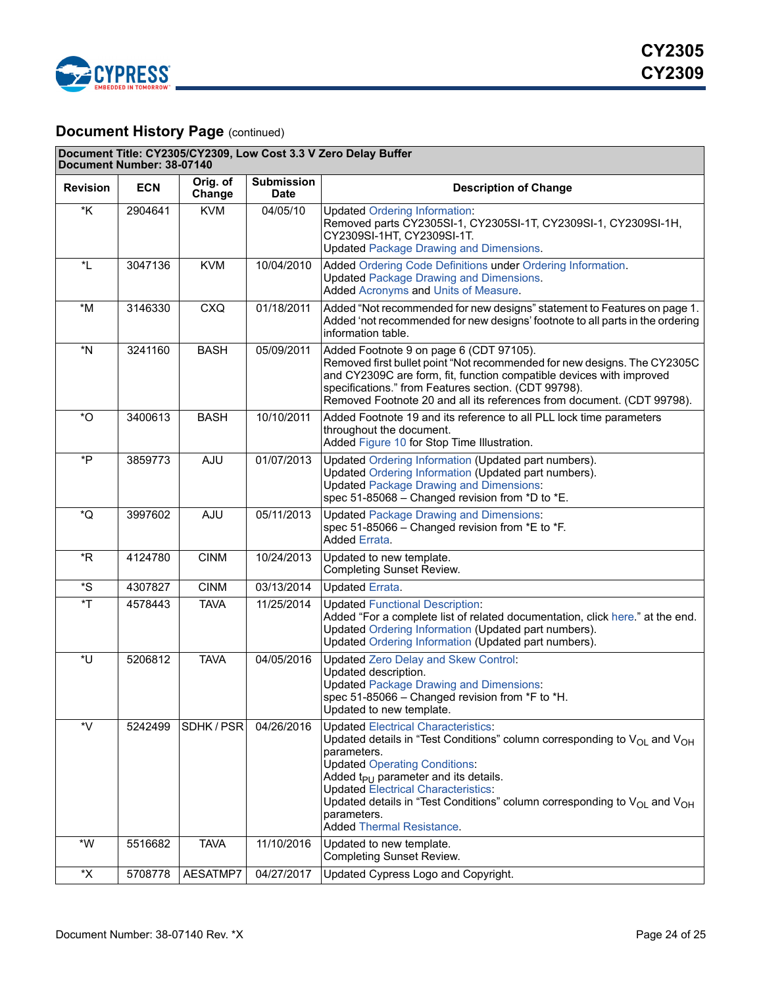

# **Document History Page (continued)**

| Document Title: CY2305/CY2309, Low Cost 3.3 V Zero Delay Buffer<br>Document Number: 38-07140 |            |                    |                                  |                                                                                                                                                                                                                                                                                                                                                                                                                                           |  |  |  |
|----------------------------------------------------------------------------------------------|------------|--------------------|----------------------------------|-------------------------------------------------------------------------------------------------------------------------------------------------------------------------------------------------------------------------------------------------------------------------------------------------------------------------------------------------------------------------------------------------------------------------------------------|--|--|--|
| <b>Revision</b>                                                                              | <b>ECN</b> | Orig. of<br>Change | <b>Submission</b><br><b>Date</b> | <b>Description of Change</b>                                                                                                                                                                                                                                                                                                                                                                                                              |  |  |  |
| $*K$                                                                                         | 2904641    | <b>KVM</b>         | 04/05/10                         | <b>Updated Ordering Information:</b><br>Removed parts CY2305SI-1, CY2305SI-1T, CY2309SI-1, CY2309SI-1H,<br>CY2309SI-1HT, CY2309SI-1T.<br><b>Updated Package Drawing and Dimensions.</b>                                                                                                                                                                                                                                                   |  |  |  |
| $^{\star}$ L                                                                                 | 3047136    | <b>KVM</b>         | 10/04/2010                       | Added Ordering Code Definitions under Ordering Information.<br><b>Updated Package Drawing and Dimensions.</b><br>Added Acronyms and Units of Measure.                                                                                                                                                                                                                                                                                     |  |  |  |
| $*M$                                                                                         | 3146330    | <b>CXQ</b>         | 01/18/2011                       | Added "Not recommended for new designs" statement to Features on page 1.<br>Added 'not recommended for new designs' footnote to all parts in the ordering<br>information table.                                                                                                                                                                                                                                                           |  |  |  |
| *N                                                                                           | 3241160    | <b>BASH</b>        | 05/09/2011                       | Added Footnote 9 on page 6 (CDT 97105).<br>Removed first bullet point "Not recommended for new designs. The CY2305C<br>and CY2309C are form, fit, function compatible devices with improved<br>specifications." from Features section. (CDT 99798).<br>Removed Footnote 20 and all its references from document. (CDT 99798).                                                                                                             |  |  |  |
| $*$ O                                                                                        | 3400613    | <b>BASH</b>        | 10/10/2011                       | Added Footnote 19 and its reference to all PLL lock time parameters<br>throughout the document.<br>Added Figure 10 for Stop Time Illustration.                                                                                                                                                                                                                                                                                            |  |  |  |
| *P                                                                                           | 3859773    | AJU                | 01/07/2013                       | Updated Ordering Information (Updated part numbers).<br>Updated Ordering Information (Updated part numbers).<br><b>Updated Package Drawing and Dimensions:</b><br>spec 51-85068 - Changed revision from *D to *E.                                                                                                                                                                                                                         |  |  |  |
| *Q                                                                                           | 3997602    | AJU                | 05/11/2013                       | <b>Updated Package Drawing and Dimensions:</b><br>spec 51-85066 - Changed revision from *E to *F.<br><b>Added Errata.</b>                                                                                                                                                                                                                                                                                                                 |  |  |  |
| $*R$                                                                                         | 4124780    | <b>CINM</b>        | 10/24/2013                       | Updated to new template.<br><b>Completing Sunset Review.</b>                                                                                                                                                                                                                                                                                                                                                                              |  |  |  |
| *S                                                                                           | 4307827    | <b>CINM</b>        | 03/13/2014                       | <b>Updated Errata.</b>                                                                                                                                                                                                                                                                                                                                                                                                                    |  |  |  |
| $\mathsf{r}$                                                                                 | 4578443    | <b>TAVA</b>        | 11/25/2014                       | <b>Updated Functional Description:</b><br>Added "For a complete list of related documentation, click here." at the end.<br>Updated Ordering Information (Updated part numbers).<br>Updated Ordering Information (Updated part numbers).                                                                                                                                                                                                   |  |  |  |
| *U                                                                                           | 5206812    | <b>TAVA</b>        | 04/05/2016                       | <b>Updated Zero Delay and Skew Control:</b><br>Updated description.<br><b>Updated Package Drawing and Dimensions:</b><br>spec 51-85066 - Changed revision from *F to *H.<br>Updated to new template.                                                                                                                                                                                                                                      |  |  |  |
| *V                                                                                           | 5242499    | SDHK/PSR           | 04/26/2016                       | <b>Updated Electrical Characteristics:</b><br>Updated details in "Test Conditions" column corresponding to $V_{\text{OL}}$ and $V_{\text{OH}}$<br>parameters.<br><b>Updated Operating Conditions:</b><br>Added $t_{PU}$ parameter and its details.<br><b>Updated Electrical Characteristics:</b><br>Updated details in "Test Conditions" column corresponding to $V_{OL}$ and $V_{OH}$<br>parameters.<br><b>Added Thermal Resistance.</b> |  |  |  |
| $^{\star}{\rm W}$                                                                            | 5516682    | <b>TAVA</b>        | 11/10/2016                       | Updated to new template.<br>Completing Sunset Review.                                                                                                                                                                                                                                                                                                                                                                                     |  |  |  |
| *Χ                                                                                           | 5708778    | AESATMP7           | 04/27/2017                       | Updated Cypress Logo and Copyright.                                                                                                                                                                                                                                                                                                                                                                                                       |  |  |  |